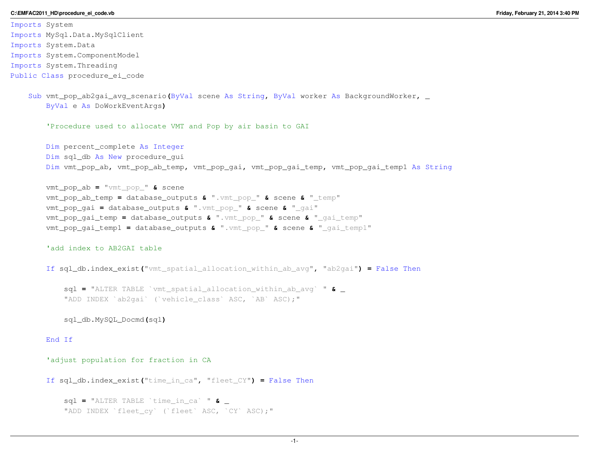#### **C:\EMFAC2011\_HD\procedure\_ei\_code.vb**

Imports System Imports MySql.Data.MySqlClient Imports System.Data Imports System.ComponentModel Imports System.Threading Public Class procedure\_ei\_code

```
Sub vmt_pop_ab2gai_avg_scenario(ByVal scene As String, ByVal worker As BackgroundWorker, _ ByVal e As DoWorkEventArgs)
```
'Procedure used to allocate VMT and Pop by air basin to GAI

Dim percent\_complete As Integer Dim sql\_db As New procedure\_gui Dim vmt\_pop\_ab**,** vmt\_pop\_ab\_temp**,** vmt\_pop\_gai**,** vmt\_pop\_gai\_temp**,** vmt\_pop\_gai\_temp1 As String

```
vmt_pop_ab = "vmt_pop_" & scene
vmt_pop_ab_temp = database_outputs & ".vmt_pop_" & scene & "_temp"
vmt_pop_gai = database_outputs & ".vmt_pop_" & scene & "_gai"
vmt_pop_gai_temp = database_outputs & ".vmt_pop_" & scene & "_gai_temp"
vmt_pop_gai_temp1 = database_outputs & ".vmt_pop_" & scene & "_gai_temp1"
```
'add index to AB2GAI table

```
If sql_db.index_exist("vmt_spatial_allocation_within_ab_avg", "ab2gai") = False Then
```

```
sql = "ALTER TABLE `vmt_spatial_allocation_within_ab_avg` " & _ "ADD INDEX `ab2gai` (`vehicle_class` ASC, `AB` ASC);"
```
sql\_db.MySQL\_Docmd**(**sql**)**

End If

'adjust population for fraction in CA

```
If sql_db.index_exist("time_in_ca", "fleet_CY") = False Then
```

```
sql = "ALTER TABLE `time_in_ca` " & _ "ADD INDEX `fleet cy` (`fleet` ASC, `CY` ASC);"
```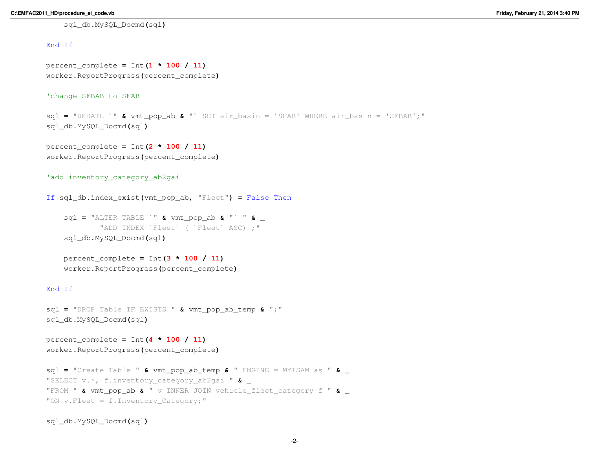## End If

percent\_complete **<sup>=</sup>** Int**(1 \* <sup>100</sup> / 11)** worker.ReportProgress**(**percent\_complete**)**

## 'change SFBAB to SFAB

sql **<sup>=</sup>** "UPDATE `" **&** vmt\_pop\_ab **&** "` SET air\_basin = 'SFAB' WHERE air\_basin = 'SFBAB';" sql\_db.MySQL\_Docmd**(**sql**)**

percent\_complete **<sup>=</sup>** Int**(2 \* <sup>100</sup> / 11)** worker.ReportProgress**(**percent\_complete**)**

```
'add inventory_category_ab2gai`
```
If sql\_db.index\_exist**(**vmt\_pop\_ab**,** "Fleet"**) <sup>=</sup>** False Then

sql **<sup>=</sup>** "ALTER TABLE `" **&** vmt\_pop\_ab **&** "` " **&** \_ "ADD INDEX `Fleet` ( `Fleet` ASC) ;"sql\_db.MySQL\_Docmd**(**sql**)**

percent\_complete **<sup>=</sup>** Int**(3 \* <sup>100</sup> / 11)** worker.ReportProgress**(**percent\_complete**)**

# End If

```
sql = "DROP Table IF EXISTS " & vmt_pop_ab_temp & ";"
sql_db.MySQL_Docmd(sql)
```

```
percent_complete = Int(4 * 100 / 11)
worker.ReportProgress(percent_complete)
```

```
sql = "Create Table " & vmt_pop_ab_temp & " ENGINE = MYISAM as " & _ "SELECT v.*, f.inventory_category_ab2gai " & _ "FROM " & vmt_pop_ab & " v INNER JOIN vehicle_fleet_category f " & _ "ON v. Fleet = f. Inventory Category;"
```
sql\_db.MySQL\_Docmd**(**sql**)**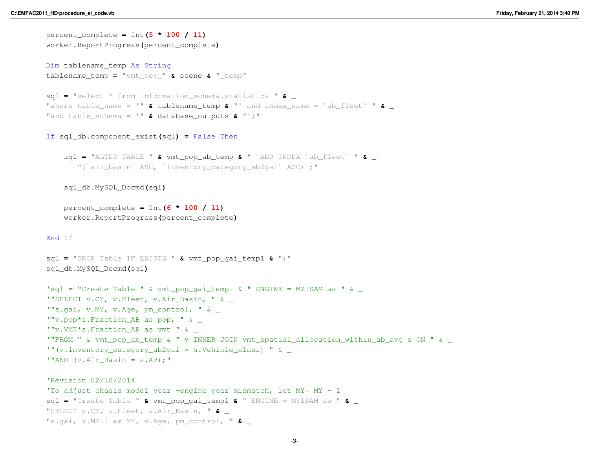```
percent_complete = Int(5 * 100 / 11)
worker.ReportProgress(percent_complete)Dim tablename_temp As String
tablename_temp = "vmt_pop_" & scene & "_temp"
sql = "select * from information_schema.statistics " & _ "where table_name = '" & tablename_temp & "' and index_name = 'ab_fleet' " & _ "and table_schema = '" & database_outputs & "';"
If sql_db.component_exist(sql) = False Then
    sql = "ALTER TABLE " & vmt_pop_ab_temp & " ADD INDEX `ab_fleet` " & _ "(`air_basin` ASC, `inventory_category_ab2gai` ASC) ;"sql_db.MySQL_Docmd(sql)percent_complete = Int(6 * 100 / 11)
   worker.ReportProgress(percent_complete)End If
sql = "DROP Table IF EXISTS " & vmt_pop_gai_temp1 & ";"
sql_db.MySQL_Docmd(sql)\texttt{lsql} = "Create Table " & vmt_pop_qai_temp1 & " ENGINE = MYISAM as " & _
'"SELECT v.CY, v.Fleet, v.Air Basin, " &
'"s.gai, v.MY, v.Age, pm_control, " & _'"v.pop*s.Fraction_AB as pop, " & _
'"v.VMT*s.Fraction_AB as vmt " & _
'"FROM " & vmt_pop_ab_temp & " v INNER JOIN vmt_spatial_allocation_within_ab_avg s ON " & _'"(v.inventory_category_ab2gai = s.Vehicle_class) " & _'"AND (v.Air Basin = s.AB);"
'Revision 02/10/2014 
'To adjust chasis model year -engine year mismatch, let MY= MY - 1
sql = "Create Table " & vmt_pop_gai_temp1 & " ENGINE = MYISAM as " & _ "SELECT v.CY, v.Fleet, v.Air_Basin, " & _ "s.gai, v.MY-1 as MY, v.Age, pm_control, " & _
```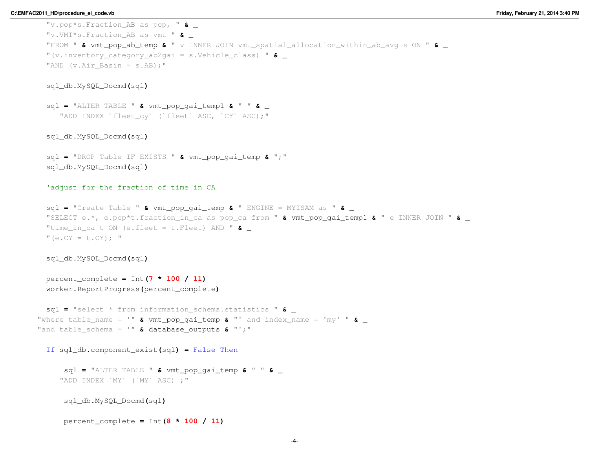```
"v.pop*s.Fraction_AB as pop, " & _ "v.VMT*s.Fraction_AB as vmt " & _ "FROM " & vmt_pop_ab_temp & " v INNER JOIN vmt_spatial_allocation_within_ab_avg s ON " & _ "(v.inventory_category_ab2gai = s.Vehicle_class) " & _ "AND (v.Air Basin = s.AB);"
```
sql **<sup>=</sup>** "ALTER TABLE " **&** vmt\_pop\_gai\_temp1 **&** " " **&** \_ "ADD INDEX `fleet cy` (`fleet` ASC, `CY` ASC);"

sql\_db.MySQL\_Docmd**(**sql**)**

sql **<sup>=</sup>** "DROP Table IF EXISTS " **&** vmt\_pop\_gai\_temp **&** ";" sql\_db.MySQL\_Docmd**(**sql**)**

'adjust for the fraction of time in CA

sql **<sup>=</sup>** "Create Table " **&** vmt\_pop\_gai\_temp **&** " ENGINE = MYISAM as " **&** \_ "SELECT e.\*, e.pop\*t.fraction\_in\_ca as pop\_ca from " **&** vmt\_pop\_gai\_temp1 **&** " e INNER JOIN " **&** \_ "time\_in\_ca t ON (e.fleet = t.Fleet) AND " **&** \_  $"$  (e.CY = t.CY) :  $"$ 

sql\_db.MySQL\_Docmd**(**sql**)**

```
percent_complete = Int(7 * 100 / 11)
worker.ReportProgress(percent_complete)
```
sql **<sup>=</sup>** "select \* from information\_schema.statistics " **&** \_ "where table\_name = '" **&** vmt\_pop\_gai\_temp **&** "' and index\_name = 'my' " **&** \_ "and table\_schema = '" **&** database\_outputs **&** "';"

If sql\_db.component\_exist**(**sql**) <sup>=</sup>** False Then

sql **<sup>=</sup>** "ALTER TABLE " **&** vmt\_pop\_gai\_temp **&** " " **&** \_ "ADD INDEX `MY` (`MY` ASC) ;"

sql\_db.MySQL\_Docmd**(**sql**)**

percent\_complete **<sup>=</sup>** Int**(8 \* <sup>100</sup> / 11)**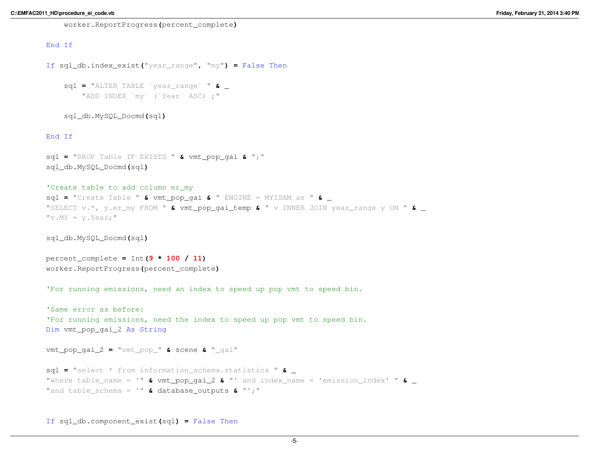worker.ReportProgress**(**percent\_complete**)**

# End If

```
If sql_db.index_exist("year_range", "my") = False Then
```

```
sql = "ALTER TABLE `year_range` " & _ "ADD INDEX `my` (`Year` ASC) ;"
```
sql\_db.MySQL\_Docmd**(**sql**)**

#### End If

```
sql = "DROP Table IF EXISTS " & vmt_pop_gai & ";"
sql_db.MySQL_Docmd(sql)
```
# 'Create table to add column er my

 sql **<sup>=</sup>** "Create Table " **&** vmt\_pop\_gai **&** " ENGINE = MYISAM as " **&** \_ "SELECT v.\*, y.er\_my FROM " **&** vmt\_pop\_gai\_temp **&** " v INNER JOIN year\_range y ON " **&** \_  $"v.MY = v.Year;"$ 

sql\_db.MySQL\_Docmd**(**sql**)**

```
percent_complete = Int(9 * 100 / 11)
worker.ReportProgress(percent_complete)
```
'For running emissions, need an index to speed up pop vmt to speed bin.

```
'Same error as before:
'For running emissions, need the index to speed up pop vmt to speed bin.Dim vmt_pop_gai_2 As String
```

```
vmt_pop_gai_2 = "vmt_pop_" & scene & "_gai"
```

```
sql = "select * from information_schema.statistics " & _ "where table_name = '" & vmt_pop_gai_2 & "' and index_name = 'emission_index' " & _ "and table_schema = '" & database_outputs & "';"
```
If sql\_db.component\_exist**(**sql**) <sup>=</sup>** False Then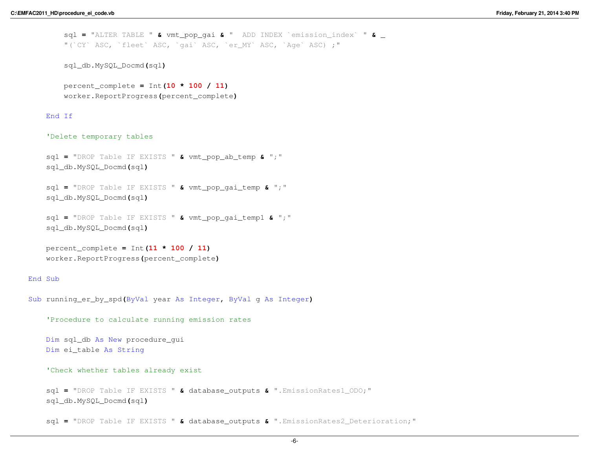sql **<sup>=</sup>** "ALTER TABLE " **&** vmt\_pop\_gai **&** " ADD INDEX `emission\_index` " **&** \_ "(`CY` ASC, `fleet` ASC, `gai` ASC, `er\_MY` ASC, `Age` ASC) ;"

```
sql_db.MySQL_Docmd(sql)
```

```
percent_complete = Int(10 * 100 / 11)
worker.ReportProgress(percent_complete)
```
# End If

#### 'Delete temporary tables

```
sql = "DROP Table IF EXISTS " & vmt_pop_ab_temp & ";"
sql_db.MySQL_Docmd(sql)
```

```
sql = "DROP Table IF EXISTS " & vmt_pop_gai_temp & ";"
sql_db.MySQL_Docmd(sql)
```

```
sql = "DROP Table IF EXISTS " & vmt_pop_gai_temp1 & ";"
sql_db.MySQL_Docmd(sql)
```

```
percent_complete = Int(11 * 100 / 11)
worker.ReportProgress(percent_complete)
```
#### End Sub

```
Sub running_er_by_spd(ByVal year As Integer, ByVal g As Integer)
```

```
'Procedure to calculate running emission rates
```

```
Dim sql_db As New procedure_gui
Dim ei_table As String
```

```
'Check whether tables already exist
```

```
sql = "DROP Table IF EXISTS " & database_outputs & ".EmissionRates1_ODO;"
sql_db.MySQL_Docmd(sql)
```
sql **<sup>=</sup>** "DROP Table IF EXISTS " **&** database\_outputs **&** ".EmissionRates2\_Deterioration;"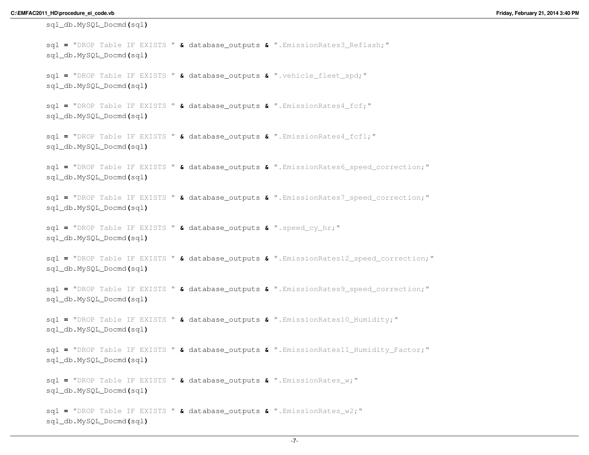```
sql_db.MySQL_Docmd(sql)sql = "DROP Table IF EXISTS " & database_outputs & ".EmissionRates3_Reflash;"
sql_db.MySQL_Docmd(sql)sql = "DROP Table IF EXISTS " & database_outputs & ".vehicle_fleet_spd;"
sql_db.MySQL_Docmd(sql)sql = "DROP Table IF EXISTS " & database_outputs & ".EmissionRates4_fcf;"
sql_db.MySQL_Docmd(sql)sql = "DROP Table IF EXISTS " & database_outputs & ".EmissionRates4_fcf1;"
sql_db.MySQL_Docmd(sql)sql = "DROP Table IF EXISTS " & database_outputs & ".EmissionRates6_speed_correction;"
sql_db.MySQL_Docmd(sql)sql = "DROP Table IF EXISTS " & database_outputs & ".EmissionRates7_speed_correction;"
sql_db.MySQL_Docmd(sql)sql = "DROP Table IF EXISTS " & database_outputs & ".speed_cy_hr;"
sql_db.MySQL_Docmd(sql)sql = "DROP Table IF EXISTS " & database_outputs & ".EmissionRates12_speed_correction;"
sql_db.MySQL_Docmd(sql)sql = "DROP Table IF EXISTS " & database_outputs & ".EmissionRates9_speed_correction;"
sql_db.MySQL_Docmd(sql)sql = "DROP Table IF EXISTS " & database_outputs & ".EmissionRates10_Humidity;"
sql_db.MySQL_Docmd(sql)sql = "DROP Table IF EXISTS " & database_outputs & ".EmissionRates11_Humidity_Factor;"
sql_db.MySQL_Docmd(sql)sql = "DROP Table IF EXISTS " & database_outputs & ".EmissionRates_w;"
sql_db.MySQL_Docmd(sql)sql = "DROP Table IF EXISTS " & database_outputs & ".EmissionRates_w2;"
sql_db.MySQL_Docmd(sql)
```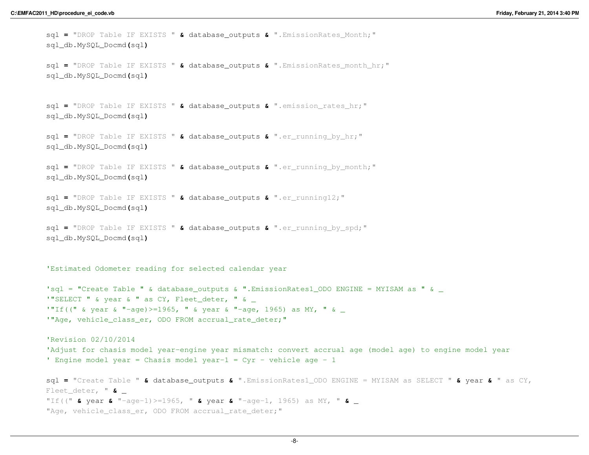```
sql = "DROP Table IF EXISTS " & database_outputs & ".EmissionRates_Month;"
sql_db.MySQL_Docmd(sql)sql = "DROP Table IF EXISTS " & database_outputs & ".EmissionRates_month_hr;"
sql_db.MySQL_Docmd(sql)sql = "DROP Table IF EXISTS " & database_outputs & ".emission_rates_hr;"
sql_db.MySQL_Docmd(sql)sql = "DROP Table IF EXISTS " & database_outputs & ".er_running_by_hr;"
sql_db.MySQL_Docmd(sql)sql = "DROP Table IF EXISTS " & database_outputs & ".er_running_by_month;"
sql_db.MySQL_Docmd(sql)sql = "DROP Table IF EXISTS " & database_outputs & ".er_running12;"
sql_db.MySQL_Docmd(sql)sql = "DROP Table IF EXISTS " & database_outputs & ".er_running_by_spd;"
sql_db.MySQL_Docmd(sql)'Estimated Odometer reading for selected calendar year'sql = "Create Table " & database_outputs & ".EmissionRates1_ODO ENGINE = MYISAM as " & \_'"SELECT " & year & " as CY, Fleet deter, " &
<code>'"If(("</code> & year & "-age)>=1965, " & year & "-age, 1965) as MY, " & \_'"Age, vehicle class er, ODO FROM accrual rate deter;"
'Revision 02/10/2014 
'Adjust for chasis model year-engine year mismatch: convert accrual age (model age) to engine model year' Engine model year = Chasis model year-1 = Cyr - vehicle age - 1
sql = "Create Table " & database_outputs & ".EmissionRates1_ODO ENGINE = MYISAM as SELECT " & year & " as CY, 
Fleet_deter, " & _ "If((" & year & "-age-1)>=1965, " & year & "-age-1, 1965) as MY, " & _ "Age, vehicle class er, ODO FROM accrual rate deter;"
```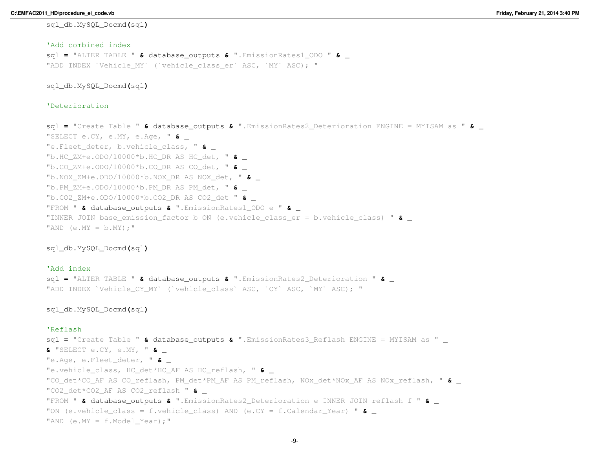# 'Add combined index sql **<sup>=</sup>** "ALTER TABLE " **&** database\_outputs **&** ".EmissionRates1\_ODO " **&** \_ "ADD INDEX `Vehicle MY` (`vehicle class er` ASC, `MY` ASC); "

sql\_db.MySQL\_Docmd**(**sql**)**

# 'Deterioration

sql **<sup>=</sup>** "Create Table " **&** database\_outputs **&** ".EmissionRates2\_Deterioration ENGINE = MYISAM as " **&** \_ "SELECT e.CY, e.MY, e.Age, " **&** \_ "e.Fleet\_deter, b.vehicle\_class, " **&** \_ "b.HC\_ZM+e.ODO/10000\*b.HC\_DR AS HC\_det, " **&** \_ "b.CO\_ZM+e.ODO/10000\*b.CO\_DR AS CO\_det, " **&** \_ "b.NOX\_ZM+e.ODO/10000\*b.NOX\_DR AS NOX\_det, " **&** \_ "b.PM\_ZM+e.ODO/10000\*b.PM\_DR AS PM\_det, " **&** \_ "b.CO2\_ZM+e.ODO/10000\*b.CO2\_DR AS CO2\_det " **&** \_ "FROM " **&** database\_outputs **&** ".EmissionRates1\_ODO e " **&** \_ "INNER JOIN base\_emission\_factor b ON (e.vehicle\_class\_er = b.vehicle\_class) " **&** \_ "AND  $(e.MY = b.MY);$ "

sql\_db.MySQL\_Docmd**(**sql**)**

# 'Add index sql **<sup>=</sup>** "ALTER TABLE " **&** database\_outputs **&** ".EmissionRates2\_Deterioration " **&** \_ "ADD INDEX `Vehicle\_CY\_MY` (`vehicle\_class` ASC, `CY` ASC, `MY` ASC); "

#### sql\_db.MySQL\_Docmd**(**sql**)**

# 'Reflash

```

sql = "Create Table " & database_outputs & ".EmissionRates3_Reflash ENGINE = MYISAM as " _ & "SELECT e.CY, e.MY, " & _ "e.Age, e.Fleet_deter, " & _ "e.vehicle_class, HC_det*HC_AF AS HC_reflash, " & _ "CO_det*CO_AF AS CO_reflash, PM_det*PM_AF AS PM_reflash, NOx_det*NOx_AF AS NOx_reflash, " & _ "CO2_det*CO2_AF AS CO2_reflash " & _ "FROM " & database_outputs & ".EmissionRates2_Deterioration e INNER JOIN reflash f " & _ "ON (e.vehicle_class = f.vehicle_class) AND (e.CY = f.Calendar_Year) " & _ "AND (e.MY = f.Model Year);"
```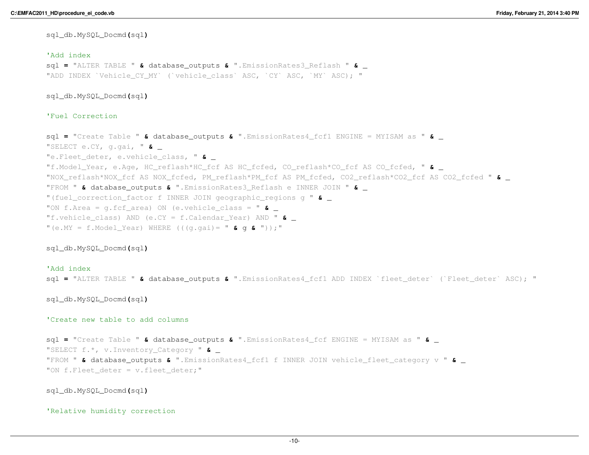## 'Add index

 sql **<sup>=</sup>** "ALTER TABLE " **&** database\_outputs **&** ".EmissionRates3\_Reflash " **&** \_ "ADD INDEX `Vehicle\_CY\_MY` (`vehicle\_class` ASC, `CY` ASC, `MY` ASC); "

sql\_db.MySQL\_Docmd**(**sql**)**

# 'Fuel Correction

```
sql = "Create Table " & database_outputs & ".EmissionRates4_fcf1 ENGINE = MYISAM as " & _ "SELECT e.CY, g.gai, " & _ "e.Fleet_deter, e.vehicle_class, " & _ "f.Model_Year, e.Age, HC_reflash*HC_fcf AS HC_fcfed, CO_reflash*CO_fcf AS CO_fcfed, " & _ "NOX_reflash*NOX_fcf AS NOX_fcfed, PM_reflash*PM_fcf AS PM_fcfed, CO2_reflash*CO2_fcf AS CO2_fcfed " & _ "FROM " & database_outputs & ".EmissionRates3_Reflash e INNER JOIN " & _ "(fuel_correction_factor f INNER JOIN geographic_regions g " & _ "ON f.Area = g.fcf_area) ON (e.vehicle_class = " & _ "f.vehicle_class) AND (e.CY = f.Calendar_Year) AND " & _ "(e.MY = f.Model_Year) WHERE (((g.gai)= " & g & "));"
```
sql\_db.MySQL\_Docmd**(**sql**)**

## 'Add index

sql **<sup>=</sup>** "ALTER TABLE " **&** database\_outputs **&** ".EmissionRates4\_fcf1 ADD INDEX `fleet\_deter` (`Fleet\_deter` ASC); "

## sql\_db.MySQL\_Docmd**(**sql**)**

# 'Create new table to add columns

```
sql = "Create Table " & database_outputs & ".EmissionRates4_fcf ENGINE = MYISAM as " & _ "SELECT f.*, v.Inventory_Category " & _ "FROM " & database_outputs & ".EmissionRates4_fcf1 f INNER JOIN vehicle_fleet_category v " & _ "ON f.Fleet deter = v.fleet deter;"
```
# sql\_db.MySQL\_Docmd**(**sql**)**

#### 'Relative humidity correction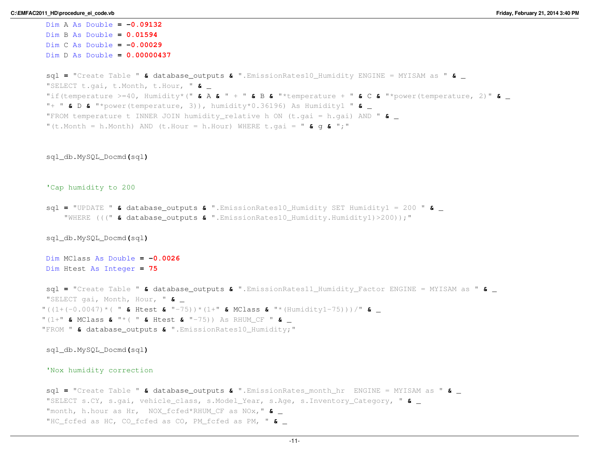```
Dim A As Double = -0.09132
Dim B As Double = 0.01594
Dim C As Double = -0.00029
Dim D As Double = 0.00000437
sql = "Create Table " & database_outputs & ".EmissionRates10_Humidity ENGINE = MYISAM as " & _ "SELECT t.gai, t.Month, t.Hour, " & _ "if(temperature >=40, Humidity*(" & A & " + " & B & "*temperature + " & C & "*power(temperature, 2)" & _ "+ " & D & "*power(temperature, 3)), humidity*0.36196) As Humidity1 " & _ "FROM temperature t INNER JOIN humidity_relative h ON (t.gai = h.gai) AND " & _ "(t.Month = h.Month) AND (t.Hour = h.Hour) WHERE t.gai = " & g & ";"
sql_db.MySQL_Docmd(sql)'Cap humidity to 200sql = "UPDATE " & database_outputs & ".EmissionRates10_Humidity SET Humidity1 = 200 " & _ "WHERE (((" & database_outputs & ".EmissionRates10_Humidity.Humidity1)>200));"
sql_db.MySQL_Docmd(sql)Dim MClass As Double = -0.0026
Dim Htest As Integer = 75
sql = "Create Table " & database_outputs & ".EmissionRates11_Humidity_Factor ENGINE = MYISAM as " & _ "SELECT gai, Month, Hour, " & _ "((1+(-0.0047)*( " & Htest & "-75))*(1+" & MClass & "*(Humidity1-75)))/" & _ "(1+" & MClass & "*( " & Htest & "-75)) As RHUM_CF " & _ "FROM " & database_outputs & ".EmissionRates10_Humidity;"
sql_db.MySQL_Docmd(sql)'Nox humidity correctionsql = "Create Table " & database_outputs & ".EmissionRates_month_hr ENGINE = MYISAM as " & _ "SELECT s.CY, s.gai, vehicle_class, s.Model_Year, s.Age, s.Inventory_Category, " & _ "month, h.hour as Hr, NOX_fcfed*RHUM_CF as NOx," & _ "HC_fcfed as HC, CO_fcfed as CO, PM_fcfed as PM, " & _
```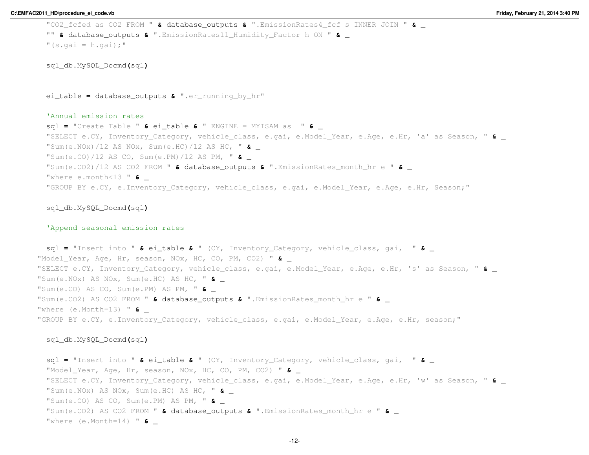```
"CO2_fcfed as CO2 FROM " & database_outputs & ".EmissionRates4_fcf s INNER JOIN " & _ "" & database_outputs & ".EmissionRates11_Humidity_Factor h ON " & _ "(s.gai = h.gai);"
 sql_db.MySQL_Docmd(sql)ei_table = database_outputs & ".er_running_by_hr"
 'Annual emission rates
sql = "Create Table " & ei_table & " ENGINE = MYISAM as " & _ "SELECT e.CY, Inventory_Category, vehicle_class, e.gai, e.Model_Year, e.Age, e.Hr, 'a' as Season, " & _ "Sum(e.NOx)/12 AS NOx, Sum(e.HC)/12 AS HC, " & _ "Sum(e.CO)/12 AS CO, Sum(e.PM)/12 AS PM, " & _ "Sum(e.CO2)/12 AS CO2 FROM " & database_outputs & ".EmissionRates_month_hr e " & _ "where e.month<13 " & _ "GROUP BY e.CY, e.Inventory Category, vehicle class, e.gai, e.Model Year, e.Age, e.Hr, Season;"
 sql_db.MySQL_Docmd(sql)'Append seasonal emission ratessql = "Insert into " & ei_table & " (CY, Inventory_Category, vehicle_class, gai, " & _ "Model_Year, Age, Hr, season, NOx, HC, CO, PM, CO2) " & _ "SELECT e.CY, Inventory_Category, vehicle_class, e.gai, e.Model_Year, e.Age, e.Hr, 's' as Season, " & _ "Sum(e.NOx) AS NOx, Sum(e.HC) AS HC, " & _ "Sum(e.CO) AS CO, Sum(e.PM) AS PM, " & _ "Sum(e.CO2) AS CO2 FROM " & database_outputs & ".EmissionRates_month_hr e " & _ "where (e.Month=13) " & _ "GROUP BY e.CY, e.Inventory Category, vehicle class, e.gai, e.Model Year, e.Age, e.Hr, season;"
 sql_db.MySQL_Docmd(sql)sql = "Insert into " & ei_table & " (CY, Inventory_Category, vehicle_class, gai, " & _ "Model_Year, Age, Hr, season, NOx, HC, CO, PM, CO2) " & _ "SELECT e.CY, Inventory_Category, vehicle_class, e.gai, e.Model_Year, e.Age, e.Hr, 'w' as Season, " & _ "Sum(e.NOx) AS NOx, Sum(e.HC) AS HC, " & _ "Sum(e.CO) AS CO, Sum(e.PM) AS PM, " & _ "Sum(e.CO2) AS CO2 FROM " & database_outputs & ".EmissionRates_month_hr e " & _ "where (e.Month=14) " & _
```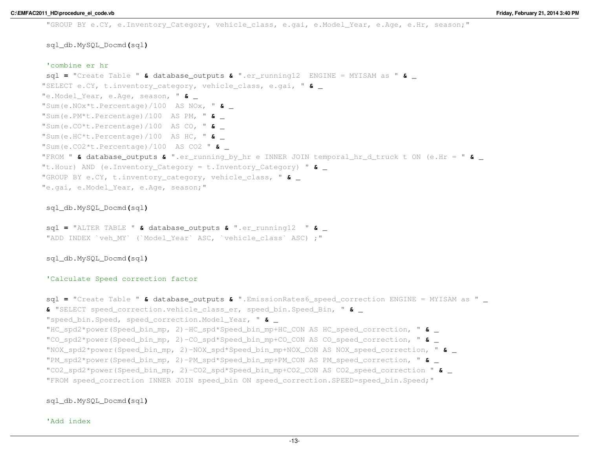"GROUP BY e.CY, e.Inventory Category, vehicle class, e.gai, e.Model Year, e.Age, e.Hr, season;"

# sql\_db.MySQL\_Docmd**(**sql**)**

#### 'combine er hr

 sql **<sup>=</sup>** "Create Table " **&** database\_outputs **&** ".er\_running12 ENGINE = MYISAM as " **&** \_ "SELECT e.CY, t.inventory\_category, vehicle\_class, e.gai, " **&** \_ "e.Model\_Year, e.Age, season, " **&** \_ "Sum(e.NOx\*t.Percentage)/100 AS NOx, " **&** \_ "Sum(e.PM\*t.Percentage)/100 AS PM, " **&** \_ "Sum(e.CO\*t.Percentage)/100 AS CO, " **&** \_ "Sum(e.HC\*t.Percentage)/100 AS HC, " **&** \_ "Sum(e.CO2\*t.Percentage)/100 AS CO2 " **&** \_ "FROM " **&** database\_outputs **&** ".er\_running\_by\_hr e INNER JOIN temporal\_hr\_d\_truck t ON (e.Hr = " **&** \_ "t.Hour) AND (e.Inventory\_Category = t.Inventory\_Category) " **&** \_ "GROUP BY e.CY, t.inventory\_category, vehicle\_class, " **&** \_ "e.gai, e.Model\_Year, e.Age, season;"

# sql\_db.MySQL\_Docmd**(**sql**)**

sql **<sup>=</sup>** "ALTER TABLE " **&** database\_outputs **&** ".er\_running12 " **&** \_ "ADD INDEX `veh\_MY` (`Model Year` ASC, `vehicle\_class` ASC) ;"

# sql\_db.MySQL\_Docmd**(**sql**)**

## 'Calculate Speed correction factor

```
sql = "Create Table " & database_outputs & ".EmissionRates6_speed_correction ENGINE = MYISAM as " _ & "SELECT speed_correction.vehicle_class_er, speed_bin.Speed_Bin, " & _ "speed_bin.Speed, speed_correction.Model_Year, " & _ "HC_spd2*power(Speed_bin_mp, 2)-HC_spd*Speed_bin_mp+HC_CON AS HC_speed_correction, " & _ "CO_spd2*power(Speed_bin_mp, 2)-CO_spd*Speed_bin_mp+CO_CON AS CO_speed_correction, " & _ "NOX_spd2*power(Speed_bin_mp, 2)-NOX_spd*Speed_bin_mp+NOX_CON AS NOX_speed_correction, " & _ "PM_spd2*power(Speed_bin_mp, 2)-PM_spd*Speed_bin_mp+PM_CON AS PM_speed_correction, " & _ "CO2_spd2*power(Speed_bin_mp, 2)-CO2_spd*Speed_bin_mp+CO2_CON AS CO2_speed_correction " & _ "FROM speed_correction INNER JOIN speed_bin ON speed_correction.SPEED=speed_bin.Speed;"
```
# sql\_db.MySQL\_Docmd**(**sql**)**

'Add index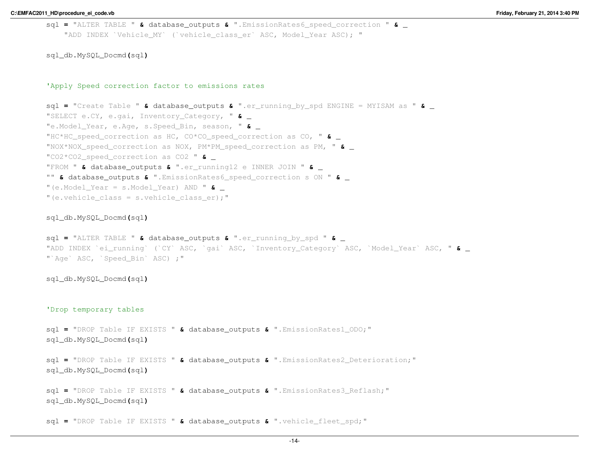```
sql = "ALTER TABLE " & database_outputs & ".EmissionRates6_speed_correction " & _ "ADD INDEX `Vehicle_MY` (`vehicle_class_er` ASC, Model_Year ASC); "
```
#### 'Apply Speed correction factor to emissions rates

```
sql = "Create Table " & database_outputs & ".er_running_by_spd ENGINE = MYISAM as " & _ "SELECT e.CY, e.gai, Inventory_Category, " & _ "e.Model_Year, e.Age, s.Speed_Bin, season, " & _ "HC*HC_speed_correction as HC, CO*CO_speed_correction as CO, " & _ "NOX*NOX_speed_correction as NOX, PM*PM_speed_correction as PM, " & _ "CO2*CO2_speed_correction as CO2 " & _ "FROM " & database_outputs & ".er_running12 e INNER JOIN " & _ "" & database_outputs & ".EmissionRates6_speed_correction s ON " & _ "(e.Model_Year = s.Model_Year) AND " & _ "(e.vehicle class = s.vehicle class er);"
```
# sql\_db.MySQL\_Docmd**(**sql**)**

sql **<sup>=</sup>** "ALTER TABLE " **&** database\_outputs **&** ".er\_running\_by\_spd " **&** \_ "ADD INDEX `ei\_running` (`CY` ASC, `gai` ASC, `Inventory\_Category` ASC, `Model\_Year` ASC, " **&** \_ "`Age` ASC, `Speed\_Bin` ASC) ;"

## sql\_db.MySQL\_Docmd**(**sql**)**

#### 'Drop temporary tables

sql **<sup>=</sup>** "DROP Table IF EXISTS " **&** database\_outputs **&** ".EmissionRates1\_ODO;" sql\_db.MySQL\_Docmd**(**sql**)**

```
sql = "DROP Table IF EXISTS " & database_outputs & ".EmissionRates2_Deterioration;"
sql_db.MySQL_Docmd(sql)
```

```
sql = "DROP Table IF EXISTS " & database_outputs & ".EmissionRates3_Reflash;"
sql_db.MySQL_Docmd(sql)
```
sql **<sup>=</sup>** "DROP Table IF EXISTS " **&** database\_outputs **&** ".vehicle\_fleet\_spd;"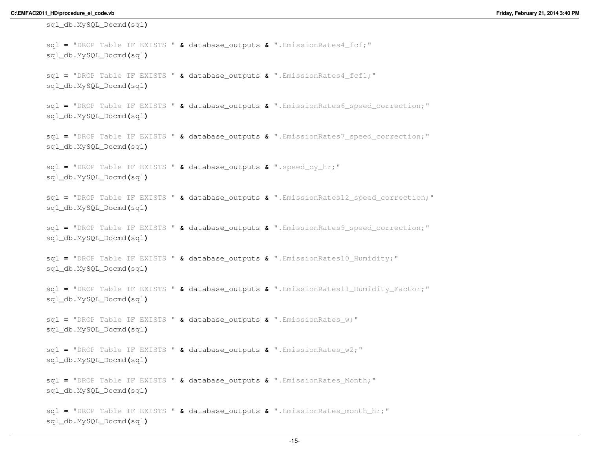```
sql_db.MySQL_Docmd(sql)sql = "DROP Table IF EXISTS " & database_outputs & ".EmissionRates4_fcf;"
sql_db.MySQL_Docmd(sql)sql = "DROP Table IF EXISTS " & database_outputs & ".EmissionRates4_fcf1;"
sql_db.MySQL_Docmd(sql)sql = "DROP Table IF EXISTS " & database_outputs & ".EmissionRates6_speed_correction;"
sql_db.MySQL_Docmd(sql)sql = "DROP Table IF EXISTS " & database_outputs & ".EmissionRates7_speed_correction;"
sql_db.MySQL_Docmd(sql)sql = "DROP Table IF EXISTS " & database_outputs & ".speed_cy_hr;"
sql_db.MySQL_Docmd(sql)sql = "DROP Table IF EXISTS " & database_outputs & ".EmissionRates12_speed_correction;"
sql_db.MySQL_Docmd(sql)sql = "DROP Table IF EXISTS " & database_outputs & ".EmissionRates9_speed_correction;"
sql_db.MySQL_Docmd(sql)sql = "DROP Table IF EXISTS " & database_outputs & ".EmissionRates10_Humidity;"
sql_db.MySQL_Docmd(sql)sql = "DROP Table IF EXISTS " & database_outputs & ".EmissionRates11_Humidity_Factor;"
sql_db.MySQL_Docmd(sql)sql = "DROP Table IF EXISTS " & database_outputs & ".EmissionRates_w;"
sql_db.MySQL_Docmd(sql)sql = "DROP Table IF EXISTS " & database_outputs & ".EmissionRates_w2;"
sql_db.MySQL_Docmd(sql)sql = "DROP Table IF EXISTS " & database_outputs & ".EmissionRates_Month;"
sql_db.MySQL_Docmd(sql)sql = "DROP Table IF EXISTS " & database_outputs & ".EmissionRates_month_hr;"
sql_db.MySQL_Docmd(sql)
```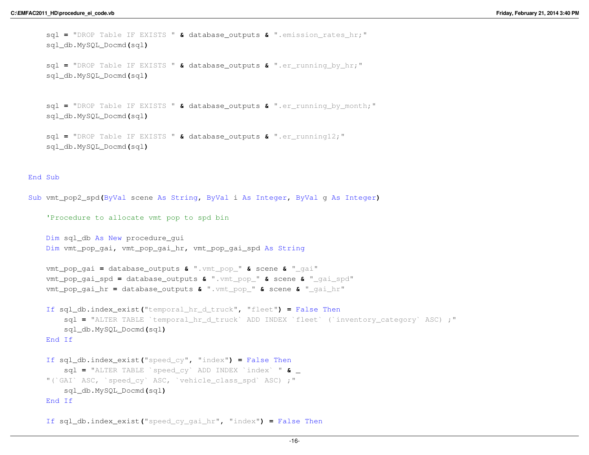sql **<sup>=</sup>** "DROP Table IF EXISTS " **&** database\_outputs **&** ".emission\_rates\_hr;" sql\_db.MySQL\_Docmd**(**sql**)**

```
sql = "DROP Table IF EXISTS " & database_outputs & ".er_running_by_hr;"
sql_db.MySQL_Docmd(sql)
```

```
sql = "DROP Table IF EXISTS " & database_outputs & ".er_running_by_month;"
sql_db.MySQL_Docmd(sql)
```

```
sql = "DROP Table IF EXISTS " & database_outputs & ".er_running12;"
sql_db.MySQL_Docmd(sql)
```
#### End Sub

```
Sub vmt_pop2_spd(ByVal scene As String, ByVal i As Integer, ByVal g As Integer)
   'Procedure to allocate vmt pop to spd binDim sql_db As New procedure_gui
   Dim vmt_pop_gai, vmt_pop_gai_hr, vmt_pop_gai_spd As String
   vmt_pop_gai = database_outputs & ".vmt_pop_" & scene & "_gai"
   vmt_pop_gai_spd = database_outputs & ".vmt_pop_" & scene & "_gai_spd"
   vmt_pop_gai_hr = database_outputs & ".vmt_pop_" & scene & "_gai_hr"
    If sql_db.index_exist("temporal_hr_d_truck", "fleet") = False Then
        sql = "ALTER TABLE `temporal_hr_d_truck` ADD INDEX `fleet` (`inventory_category` ASC) ;"
       sql_db.MySQL_Docmd(sql)End If
    If sql_db.index_exist("speed_cy", "index") = False Then
        sql = "ALTER TABLE `speed_cy` ADD INDEX `index` " & _ "(`GAI` ASC, `speed_cy` ASC, `vehicle_class_spd` ASC) ;"sql_db.MySQL_Docmd(sql)End If
```

```
If sql_db.index_exist("speed_cy_gai_hr", "index") = False Then
```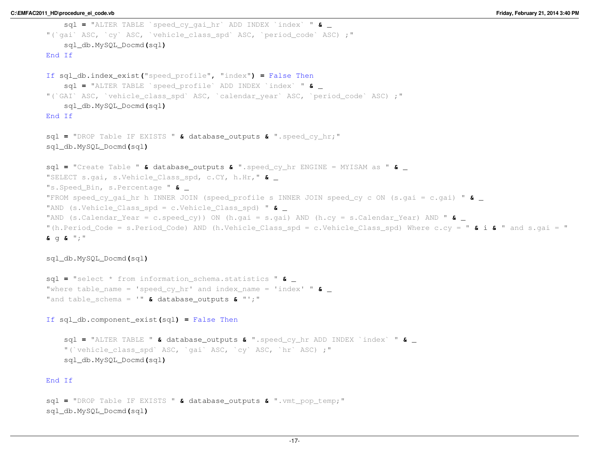```
sql = "ALTER TABLE `speed_cy_gai_hr` ADD INDEX `index` " & _ "(`gai` ASC, `cy` ASC, `vehicle_class_spd` ASC, `period_code` ASC) ;"sql_db.MySQL_Docmd(sql)End If
If sql_db.index_exist("speed_profile", "index") = False Then
    sql = "ALTER TABLE `speed_profile` ADD INDEX `index` " & _ "(`GAI` ASC, `vehicle_class_spd` ASC, `calendar_year` ASC, `period_code` ASC) ;"sql_db.MySQL_Docmd(sql)End If
sql = "DROP Table IF EXISTS " & database_outputs & ".speed_cy_hr;"
sql_db.MySQL_Docmd(sql)sql = "Create Table " & database_outputs & ".speed_cy_hr ENGINE = MYISAM as " & _ "SELECT s.gai, s.Vehicle_Class_spd, c.CY, h.Hr," & _ "s.Speed_Bin, s.Percentage " & _ "FROM speed_cy_gai_hr h INNER JOIN (speed_profile s INNER JOIN speed_cy c ON (s.gai = c.gai) " & _ "AND (s.Vehicle_Class_spd = c.Vehicle_Class_spd) " & _ "AND (s.Calendar_Year = c.speed_cy)) ON (h.gai = s.gai) AND (h.cy = s.Calendar_Year) AND " & _ "(h.Period_Code = s.Period_Code) AND (h.Vehicle_Class_spd = c.Vehicle_Class_spd) Where c.cy = " & i & " and s.gai = "
& g & ";"
```

```
sql = "select * from information_schema.statistics " & _ "where table_name = 'speed_cy_hr' and index_name = 'index' " & _ "and table_schema = '" & database_outputs & "';"
```
If sql\_db.component\_exist**(**sql**) <sup>=</sup>** False Then

sql **<sup>=</sup>** "ALTER TABLE " **&** database\_outputs **&** ".speed\_cy\_hr ADD INDEX `index` " **&** \_ "(`vehicle class spd` ASC, `qai` ASC, `cy` ASC, `hr` ASC) ;" sql\_db.MySQL\_Docmd**(**sql**)**

# End If

```
sql = "DROP Table IF EXISTS " & database_outputs & ".vmt_pop_temp;"
sql_db.MySQL_Docmd(sql)
```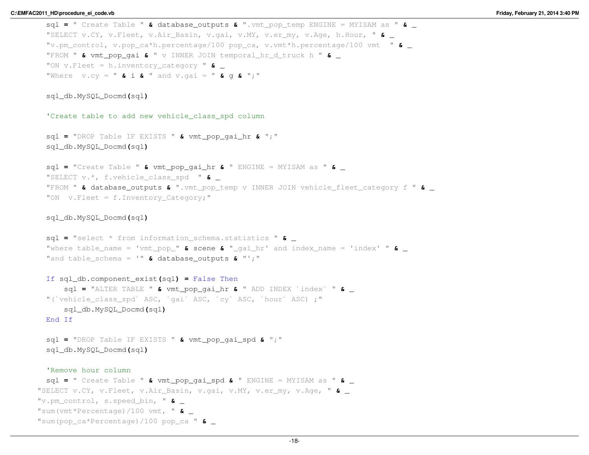```
sql = " Create Table " & database_outputs & ".vmt_pop_temp ENGINE = MYISAM as " & _ "SELECT v.CY, v.Fleet, v.Air_Basin, v.gai, v.MY, v.er_my, v.Age, h.Hour, " & _ "v.pm_control, v.pop_ca*h.percentage/100 pop_ca, v.vmt*h.percentage/100 vmt " & _ "FROM " & vmt_pop_gai & " v INNER JOIN temporal_hr_d_truck h " & _ "ON v.Fleet = h.inventory_category " & _ "Where v.cy = " & i & " and v.gai = " & g & ";"
 sql_db.MySQL_Docmd(sql)'Create table to add new vehicle_class_spd columnsql = "DROP Table IF EXISTS " & vmt_pop_gai_hr & ";"
 sql_db.MySQL_Docmd(sql)sql = "Create Table " & vmt_pop_gai_hr & " ENGINE = MYISAM as " & _ "SELECT v.*, f.vehicle_class_spd " & _ "FROM " & database_outputs & ".vmt_pop_temp v INNER JOIN vehicle_fleet_category f " & _ "ON v.Fleet = f.Inventory Category; "sql_db.MySQL_Docmd(sql)sql = "select * from information_schema.statistics " & _ "where table_name = 'vmt_pop_" & scene & "_gai_hr' and index_name = 'index' " & _ "and table_schema = '" & database_outputs & "';"
 If sql_db.component_exist(sql) = False Then
      sql = "ALTER TABLE " & vmt_pop_gai_hr & " ADD INDEX `index` " & _ "(`vehicle_class_spd` ASC, `qai` ASC, `cy` ASC, `hour` ASC) ;"
     sql_db.MySQL_Docmd(sql)End If
 sql = "DROP Table IF EXISTS " & vmt_pop_gai_spd & ";"
 sql_db.MySQL_Docmd(sql)'Remove hour column
sql = " Create Table " & vmt_pop_gai_spd & " ENGINE = MYISAM as " & _ "SELECT v.CY, v.Fleet, v.Air_Basin, v.gai, v.MY, v.er_my, v.Age, " & _ "v.pm_control, s.speed_bin, " & _ "sum(vmt*Percentage)/100 vmt, " & _ "sum(pop_ca*Percentage)/100 pop_ca " & _
```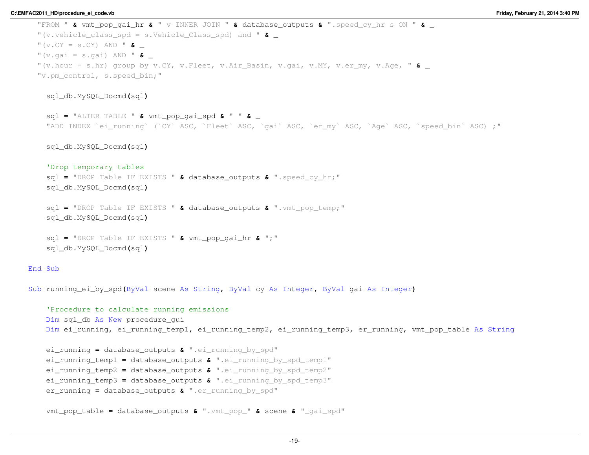```
"FROM " & vmt_pop_gai_hr & " v INNER JOIN " & database_outputs & ".speed_cy_hr s ON " & _ "(v.vehicle_class_spd = s.Vehicle_Class_spd) and " & _ "(v.CY = s.CY) AND " & _ "(v.gai = s.gai) AND " & _ "(v.hour = s.hr) group by v.CY, v.Fleet, v.Air_Basin, v.gai, v.MY, v.er_my, v.Age, " & _ "v.pm_control, s.speed_bin;"sql_db.MySQL_Docmd(sql)sql = "ALTER TABLE " & vmt_pop_gai_spd & " " & _ "ADD INDEX `ei_running` (`CY` ASC, `Fleet` ASC, `gai` ASC, `er_my` ASC, `Age` ASC, `speed_bin` ASC) ;"sql_db.MySQL_Docmd(sql)'Drop temporary tables
sql = "DROP Table IF EXISTS " & database_outputs & ".speed_cy_hr;"
    sql_db.MySQL_Docmd(sql)sql = "DROP Table IF EXISTS " & database_outputs & ".vmt_pop_temp;"
   sql_db.MySQL_Docmd(sql)sql = "DROP Table IF EXISTS " & vmt_pop_gai_hr & ";"
    sql_db.MySQL_Docmd(sql)End Sub
Sub running_ei_by_spd(ByVal scene As String, ByVal cy As Integer, ByVal gai As Integer)
```

```
'Procedure to calculate running emissionsDim sql_db As New procedure_gui
Dim ei_running, ei_running_temp1, ei_running_temp2, ei_running_temp3, er_running, vmt_pop_table As String
```

```
ei_running = database_outputs & ".ei_running_by_spd"
ei_running_temp1 = database_outputs & ".ei_running_by_spd_temp1"
ei_running_temp2 = database_outputs & ".ei_running_by_spd_temp2"
ei_running_temp3 = database_outputs & ".ei_running_by_spd_temp3"
er_running = database_outputs & ".er_running_by_spd"
```
vmt\_pop\_table **<sup>=</sup>** database\_outputs **&** ".vmt\_pop\_" **&** scene **&** "\_gai\_spd"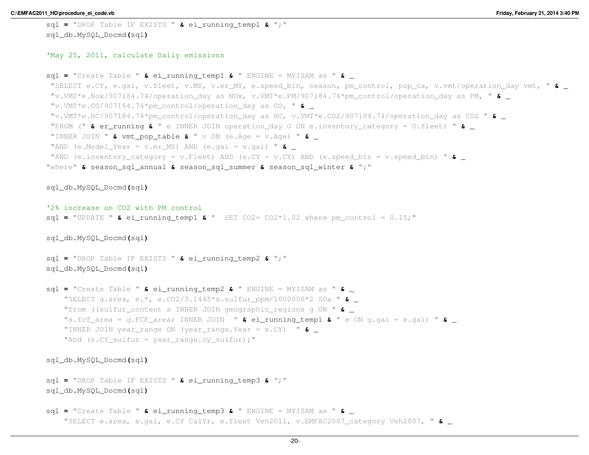```
sql = "DROP Table IF EXISTS " & ei_running_temp1 & ";"
sql_db.MySQL_Docmd(sql)
```
## 'May 25, 2011, calculate Daily emissions

```
sql = "Create Table " & ei_running_temp1 & " ENGINE = MYISAM as " & _ "SELECT e.CY, e.gai, v.fleet, v.MY, v.er_MY, e.speed_bin, season, pm_control, pop_ca, v.vmt/operation_day vmt, " & _ "v.VMT*e.Nox/907184.74/operation_day as NOx, v.VMT*e.PM/907184.74*pm_control/operation_day as PM, " & _ "v.VMT*e.CO/907184.74*pm_control/operation_day as CO, " & _ "v.VMT*e.HC/907184.74*pm_control/operation_day as HC, v.VMT*e.CO2/907184.74/operation_day as CO2 " & _ "FROM (" & er_running & " e INNER JOIN operation_day O ON e.inventory_category = O.fleet) " & _ "INNER JOIN " & vmt_pop_table & " v ON (e.Age = v.Age) " & _ "AND (e.Model_Year = v.er_MY) AND (e.gai = v.gai) " & _ "AND (e.inventory_category = v.Fleet) AND (e.CY = v.CY) AND (e.speed_bin = v.speed_bin) " & _ "where" & season_sql_annual & season_sql_summer & season_sql_winter & ";"
sql_db.MySQL_Docmd(sql)'2% increase on CO2 with PM control
sql = "UPDATE " & ei_running_temp1 & " SET CO2= CO2*1.02 where pm_control = 0.15;"
sql_db.MySQL_Docmd(sql)sql = "DROP Table IF EXISTS " & ei_running_temp2 & ";"
sql_db.MySQL_Docmd(sql)sql = "Create Table " & ei_running_temp2 & " ENGINE = MYISAM as " & _ "SELECT g.area, e.*, e.CO2/3.1445*s.sulfur_ppm/1000000*2 SOx " & _ "from ((sulfur_content s INNER JOIN geographic_regions g ON " & _ "s.fcf_area = g.FCF_area) INNER JOIN " & ei_running_temp1 & " e ON g.gai = e.gai) " & _ "INNER JOIN year_range ON (year_range.Year = e.CY) " & _ "And (s.CY_sulfur = year_range.cy_sulfur);"
sql_db.MySQL_Docmd(sql)sql = "DROP Table IF EXISTS " & ei_running_temp3 & ";"
sql_db.MySQL_Docmd(sql)sql = "Create Table " & ei_running_temp3 & " ENGINE = MYISAM as " & _
```

```
"SELECT e.area, e.gai, e.CY CalYr, e.fleet Veh2011, v.EMFAC2007_category Veh2007, " & _
```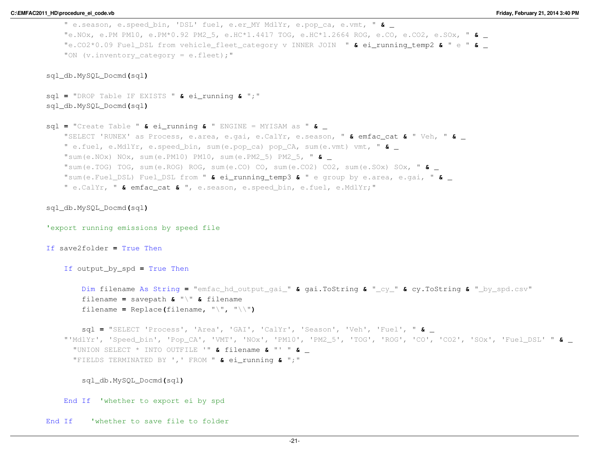```
" e.season, e.speed_bin, 'DSL' fuel, e.er_MY MdlYr, e.pop_ca, e.vmt, " & _ "e.NOx, e.PM PM10, e.PM*0.92 PM2_5, e.HC*1.4417 TOG, e.HC*1.2664 ROG, e.CO, e.CO2, e.SOx, " & _ "e.CO2*0.09 Fuel_DSL from vehicle_fleet_category v INNER JOIN " & ei_running_temp2 & " e " & _ "ON (v.inventory category = e.fleet);"
sql_db.MySQL_Docmd(sql)sql = "DROP Table IF EXISTS " & ei_running & ";"
sql_db.MySQL_Docmd(sql)sql = "Create Table " & ei_running & " ENGINE = MYISAM as " & _ "SELECT 'RUNEX' as Process, e.area, e.gai, e.CalYr, e.season, " & emfac_cat & " Veh, " & _ " e.fuel, e.MdlYr, e.speed_bin, sum(e.pop_ca) pop_CA, sum(e.vmt) vmt, " & _ "sum(e.NOx) NOx, sum(e.PM10) PM10, sum(e.PM2_5) PM2_5, " & _ "sum(e.TOG) TOG, sum(e.ROG) ROG, sum(e.CO) CO, sum(e.CO2) CO2, sum(e.SOx) SOx, " & _ "sum(e.Fuel_DSL) Fuel_DSL from " & ei_running_temp3 & " e group by e.area, e.gai, " & _ " e.CalYr, " & emfac_cat & ", e.season, e.speed_bin, e.fuel, e.MdlYr;"
sql_db.MySQL_Docmd(sql)'export running emissions by speed fileIf save2folder = True Then
    If output_by_spd = True Then
        Dim filename As String = "emfac_hd_output_gai_" & gai.ToString & "_cy_" & cy.ToString & "_by_spd.csv"
        filename = savepath & "\" & filename
        filename = Replace(filename, "\", "\\")
        sql = "SELECT 'Process', 'Area', 'GAI', 'CalYr', 'Season', 'Veh', 'Fuel', " & _ "'MdlYr', 'Speed_bin', 'Pop_CA', 'VMT', 'NOx', 'PM10', 'PM2_5', 'TOG', 'ROG', 'CO', 'CO2', 'SOx', 'Fuel_DSL' " & _ "UNION SELECT * INTO OUTFILE '" & filename & "' " & _ "FIELDS TERMINATED BY ',' FROM " & ei_running & ";"
       sql_db.MySQL_Docmd(sql)End If 'whether to export ei by spd
End If 'whether to save file to folder
```

```
-21-
```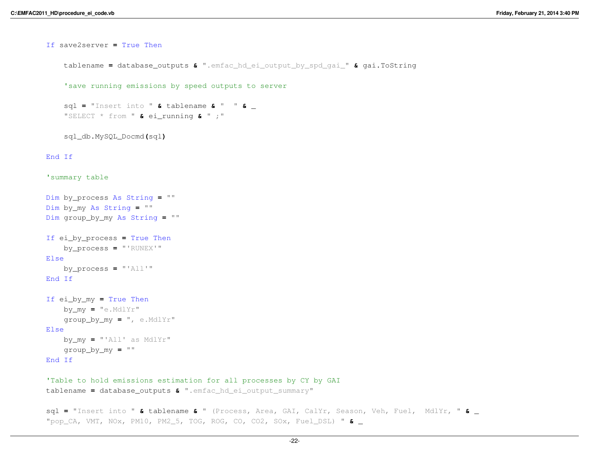```
If save2server = True Then
    tablename = database_outputs & ".emfac_hd_ei_output_by_spd_gai_" & gai.ToString
    'save running emissions by speed outputs to serversql = "Insert into " & tablename & " " & _ "SELECT * from " & ei_running & " ;"
    sql_db.MySQL_Docmd(sql)End If
'summary tableDim by_process As String = ""
Dim by_my As String = ""
Dim group_by_my As String = ""
If ei_by_process = True Then
    by_process = "'RUNEX'"
Elseby_process = "'All'"
End If
If ei_by_my = True Then
    by_my = "e.MdlYr"
    group_by_my = ", e.MdlYr"
Elseby_my = "'All' as MdlYr"
    group_by_my = ""
End If
'Table to hold emissions estimation for all processes by CY by GAItablename = database_outputs & ".emfac_hd_ei_output_summary"
```
sql **<sup>=</sup>** "Insert into " **&** tablename **&** " (Process, Area, GAI, CalYr, Season, Veh, Fuel, MdlYr, " **&** \_ "pop\_CA, VMT, NOx, PM10, PM2\_5, TOG, ROG, CO, CO2, SOx, Fuel\_DSL) " **&** \_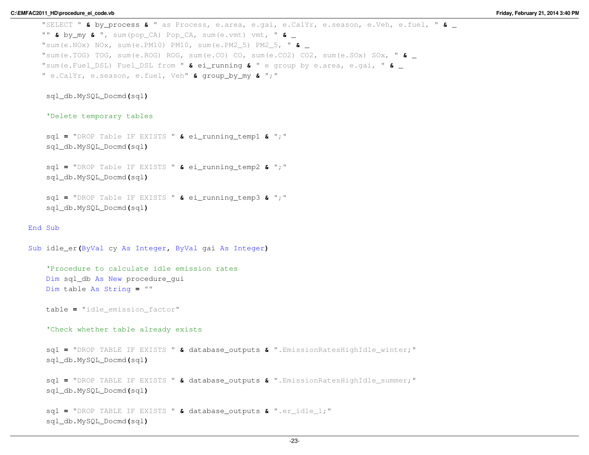```
"SELECT " & by_process & " as Process, e.area, e.gai, e.CalYr, e.season, e.Veh, e.fuel, " & _ "" & by_my & ", sum(pop_CA) Pop_CA, sum(e.vmt) vmt, " & _ "sum(e.NOx) NOx, sum(e.PM10) PM10, sum(e.PM2_5) PM2_5, " & _ "sum(e.TOG) TOG, sum(e.ROG) ROG, sum(e.CO) CO, sum(e.CO2) CO2, sum(e.SOx) SOx, " & _ "sum(e.Fuel_DSL) Fuel_DSL from " & ei_running & " e group by e.area, e.gai, " & _ " e.CalYr, e.season, e.fuel, Veh" & group_by_my & ";"
```
## 'Delete temporary tables

```
sql = "DROP Table IF EXISTS " & ei_running_temp1 & ";"
sql_db.MySQL_Docmd(sql)
```

```
sql = "DROP Table IF EXISTS " & ei_running_temp2 & ";"
sql_db.MySQL_Docmd(sql)
```

```
sql = "DROP Table IF EXISTS " & ei_running_temp3 & ";"
sql_db.MySQL_Docmd(sql)
```

```
End Sub
```

```
Sub idle_er(ByVal cy As Integer, ByVal gai As Integer)
   'Procedure to calculate idle emission ratesDim sql_db As New procedure_gui
   Dim table As String = ""
   table = "idle_emission_factor"
   'Check whether table already existssql = "DROP TABLE IF EXISTS " & database_outputs & ".EmissionRatesHighIdle_winter;"
   sql_db.MySQL_Docmd(sql)sql = "DROP TABLE IF EXISTS " & database_outputs & ".EmissionRatesHighIdle_summer;"
   sql_db.MySQL_Docmd(sql)sql = "DROP TABLE IF EXISTS " & database_outputs & ".er_idle_1;"
   sql_db.MySQL_Docmd(sql)
```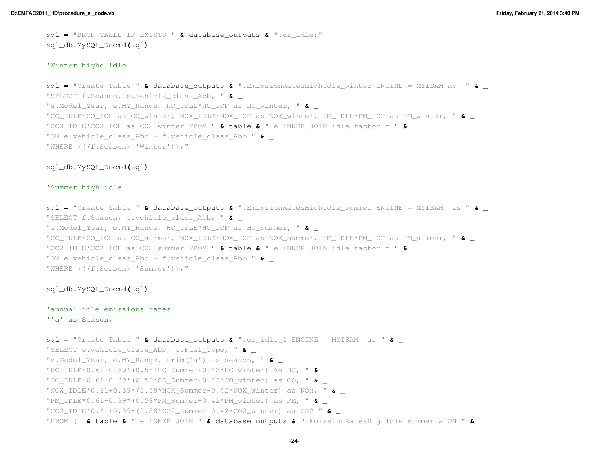sql **<sup>=</sup>** "DROP TABLE IF EXISTS " **&** database\_outputs **&** ".er\_idle;" sql\_db.MySQL\_Docmd**(**sql**)**

## 'Winter highe idle

```
sql = "Create Table " & database_outputs & ".EmissionRatesHighIdle_winter ENGINE = MYISAM as " & _ "SELECT f.Season, e.vehicle_class_Abb, " & _ "e.Model_Year, e.MY_Range, HC_IDLE*HC_ICF as HC_winter, " & _ "CO_IDLE*CO_ICF as CO_winter, NOX_IDLE*NOX_ICF as NOX_winter, PM_IDLE*PM_ICF as PM_winter, " & _ "CO2_IDLE*CO2_ICF as CO2_winter FROM " & table & " e INNER JOIN idle_factor f " & _ "ON e.vehicle_class_Abb = f.vehicle_class_Abb " & _ "WHERE (((f.Season)='Winter'));"
```
#### sql\_db.MySQL\_Docmd**(**sql**)**

#### 'Summer high idle

```
sql = "Create Table " & database_outputs & ".EmissionRatesHighIdle_summer ENGINE = MYISAM as " & _ "SELECT f.Season, e.vehicle_class_Abb, " & _ "e.Model_Year, e.MY_Range, HC_IDLE*HC_ICF as HC_summer, " & _ "CO_IDLE*CO_ICF as CO_summer, NOX_IDLE*NOX_ICF as NOX_summer, PM_IDLE*PM_ICF as PM_summer, " & _ "CO2_IDLE*CO2_ICF as CO2_summer FROM " & table & " e INNER JOIN idle_factor f " & _ "ON e.vehicle_class_Abb = f.vehicle_class_Abb " & _ "WHERE (((f.Season)='Summer'));"
```
#### sql\_db.MySQL\_Docmd**(**sql**)**

# 'annual idle emissions rates''a' as Season,

```
sql = "Create Table " & database_outputs & ".er_idle_1 ENGINE = MYISAM as " & _ "SELECT e.vehicle_class_Abb, e.Fuel_Type, " & _ "e.Model_Year, e.MY_Range, trim('a') as season, " & _ "HC_IDLE*0.61+0.39*(0.58*HC_Summer+0.42*HC_winter) As HC, " & _ "CO_IDLE*0.61+0.39*(0.58*CO_Summer+0.42*CO_winter) as CO, " & _ "NOX_IDLE*0.61+0.39*(0.58*NOX_Summer+0.42*NOX_winter) as NOx, " & _ "PM_IDLE*0.61+0.39*(0.58*PM_Summer+0.42*PM_winter) as PM, " & _ "CO2_IDLE*0.61+0.39*(0.58*CO2_Summer+0.42*CO2_winter) as CO2 " & _ "FROM (" & table & " e INNER JOIN " & database_outputs & ".EmissionRatesHighIdle_summer s ON " & _
```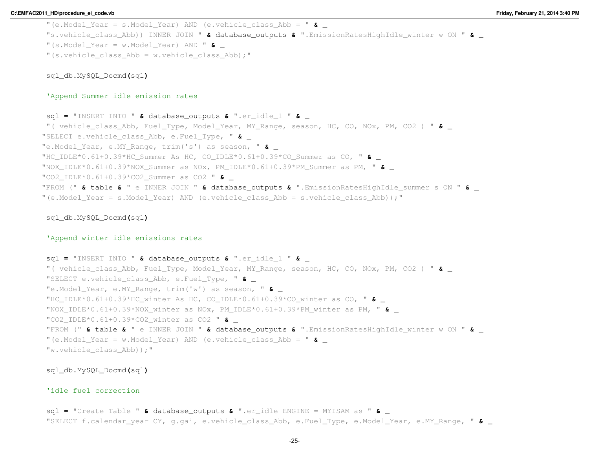```
"(e.Model_Year = s.Model_Year) AND (e.vehicle_class_Abb = " & _ "s.vehicle_class_Abb)) INNER JOIN " & database_outputs & ".EmissionRatesHighIdle_winter w ON " & _ "(s.Model_Year = w.Model_Year) AND " & _ "(s.vehicle class Abb = w.vehicle class Abb);"
```
## 'Append Summer idle emission rates

sql **<sup>=</sup>** "INSERT INTO " **&** database\_outputs **&** ".er\_idle\_1 " **&** \_ "( vehicle\_class\_Abb, Fuel\_Type, Model\_Year, MY\_Range, season, HC, CO, NOx, PM, CO2 ) " **&** \_ "SELECT e.vehicle\_class\_Abb, e.Fuel\_Type, " **&** \_ "e.Model\_Year, e.MY\_Range, trim('s') as season, " **&** \_ "HC\_IDLE\*0.61+0.39\*HC\_Summer As HC, CO\_IDLE\*0.61+0.39\*CO\_Summer as CO, " **&** \_ "NOX\_IDLE\*0.61+0.39\*NOX\_Summer as NOx, PM\_IDLE\*0.61+0.39\*PM\_Summer as PM, " **&** \_ "CO2\_IDLE\*0.61+0.39\*CO2\_Summer as CO2 " **&** \_ "FROM (" **&** table **&** " e INNER JOIN " **&** database\_outputs **&** ".EmissionRatesHighIdle\_summer s ON " **&** \_ "(e.Model\_Year = s.Model\_Year) AND (e.vehicle\_class\_Abb = s.vehicle\_class\_Abb));"

# sql\_db.MySQL\_Docmd**(**sql**)**

## 'Append winter idle emissions rates

```
sql = "INSERT INTO " & database_outputs & ".er_idle_1 " & _ "( vehicle_class_Abb, Fuel_Type, Model_Year, MY_Range, season, HC, CO, NOx, PM, CO2 ) " & _ "SELECT e.vehicle_class_Abb, e.Fuel_Type, " & _ "e.Model_Year, e.MY_Range, trim('w') as season, " & _ "HC_IDLE*0.61+0.39*HC_winter As HC, CO_IDLE*0.61+0.39*CO_winter as CO, " & _ "NOX_IDLE*0.61+0.39*NOX_winter as NOx, PM_IDLE*0.61+0.39*PM_winter as PM, " & _ "CO2_IDLE*0.61+0.39*CO2_winter as CO2 " & _ "FROM (" & table & " e INNER JOIN " & database_outputs & ".EmissionRatesHighIdle_winter w ON " & _ "(e.Model_Year = w.Model_Year) AND (e.vehicle_class_Abb = " & _ "w.vehicle_class_Abb));"
```
sql\_db.MySQL\_Docmd**(**sql**)**

# 'idle fuel correction

sql **<sup>=</sup>** "Create Table " **&** database\_outputs **&** ".er\_idle ENGINE = MYISAM as " **&** \_ "SELECT f.calendar\_year CY, g.gai, e.vehicle\_class\_Abb, e.Fuel\_Type, e.Model\_Year, e.MY\_Range, " **&** \_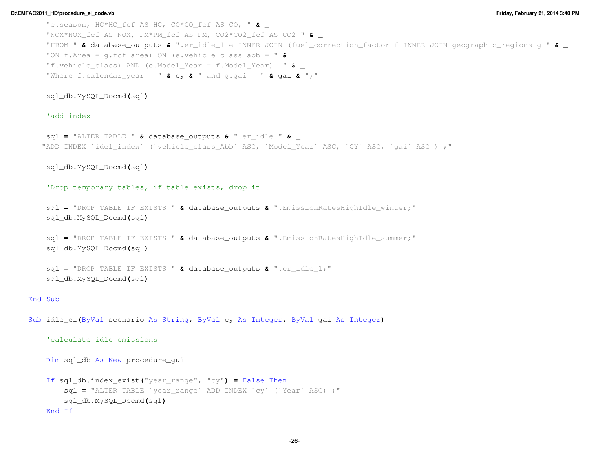"e.season, HC\*HC\_fcf AS HC, CO\*CO\_fcf AS CO, " **&** \_ "NOX\*NOX\_fcf AS NOX, PM\*PM\_fcf AS PM, CO2\*CO2\_fcf AS CO2 " **&** \_ "FROM " **&** database\_outputs **&** ".er\_idle\_1 e INNER JOIN (fuel\_correction\_factor f INNER JOIN geographic\_regions g " **&** \_ "ON f.Area = g.fcf\_area) ON (e.vehicle\_class\_abb = " **&** \_ "f.vehicle\_class) AND (e.Model\_Year = f.Model\_Year) " **&** \_ "Where f.calendar\_year = " **&** cy **&** " and g.gai = " **&** ga<sup>i</sup> **&** ";"

sql\_db.MySQL\_Docmd**(**sql**)**

'add index

```
sql = "ALTER TABLE " & database_outputs & ".er_idle " & _ "ADD INDEX `idel_index` (`vehicle_class_Abb` ASC, `Model_Year` ASC, `CY` ASC, `gai` ASC ) ;"
```
sql\_db.MySQL\_Docmd**(**sql**)**

'Drop temporary tables, if table exists, drop it

```
sql = "DROP TABLE IF EXISTS " & database_outputs & ".EmissionRatesHighIdle_winter;"
sql_db.MySQL_Docmd(sql)
```
sql **<sup>=</sup>** "DROP TABLE IF EXISTS " **&** database\_outputs **&** ".EmissionRatesHighIdle\_summer;" sql\_db.MySQL\_Docmd**(**sql**)**

```
sql = "DROP TABLE IF EXISTS " & database_outputs & ".er_idle_1;"
sql_db.MySQL_Docmd(sql)
```
# End Sub

```
Sub idle_ei(ByVal scenario As String, ByVal cy As Integer, ByVal gai As Integer)
```
'calculate idle emissions

Dim sql\_db As New procedure\_gui

```
If sql_db.index_exist("year_range", "cy") = False Then
    sql = "ALTER TABLE `year_range` ADD INDEX `cy` (`Year` ASC) ;"
   sql_db.MySQL_Docmd(sql)End If
```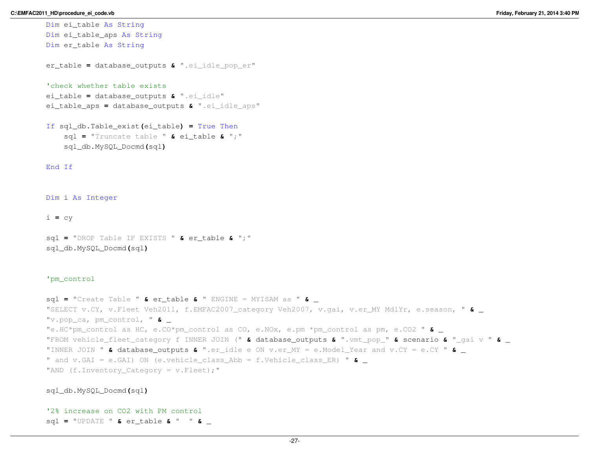Dim ei\_table As String

```
Dim ei_table_aps As String
Dim er_table As String
er_table = database_outputs & ".ei_idle_pop_er"
'check whether table exists
ei_table = database_outputs & ".ei_idle"
ei_table_aps = database_outputs & ".ei_idle_aps"
If sql_db.Table_exist(ei_table) = True Then
```

```
sql = "Truncate table " & ei_table & ";"
sql_db.MySQL_Docmd(sql)
```
End If

Dim <sup>i</sup> As Integer

i **<sup>=</sup>** cy

```
sql = "DROP Table IF EXISTS " & er_table & ";"
sql_db.MySQL_Docmd(sql)
```
## 'pm\_control

```
sql = "Create Table " & er_table & " ENGINE = MYISAM as " & _ "SELECT v.CY, v.Fleet Veh2011, f.EMFAC2007_category Veh2007, v.gai, v.er_MY MdlYr, e.season, " & _ "v.pop_ca, pm_control, " & _ "e.HC*pm_control as HC, e.CO*pm_control as CO, e.NOx, e.pm *pm_control as pm, e.CO2 " & _ "FROM vehicle_fleet_category f INNER JOIN (" & database_outputs & ".vmt_pop_" & scenario & "_gai v " & _ "INNER JOIN " & database_outputs & ".er_idle e ON v.er_MY = e.Model_Year and v.CY = e.CY " & _ " and v.GAI = e.GAI) ON (e.vehicle_class_Abb = f.Vehicle_class_ER) " & _ "AND (f_\cdot Inventory Category = v.Fleet);"
```
sql\_db.MySQL\_Docmd**(**sql**)**

```
'2% increase on CO2 with PM control
sql = "UPDATE " & er_table & " " & _
```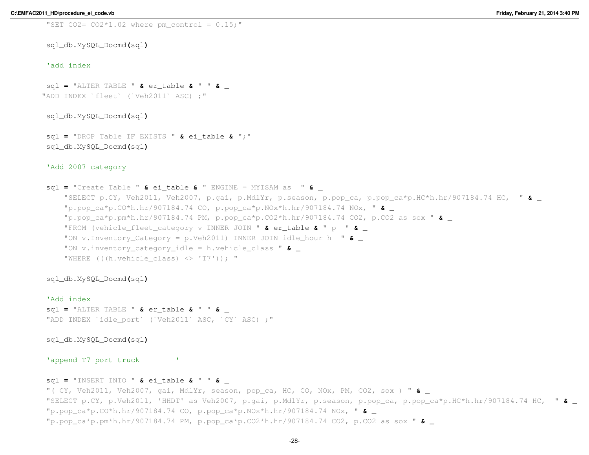"SET CO2=  $CO2*1.02$  where pm control =  $0.15;$ "

sql\_db.MySQL\_Docmd**(**sql**)**

# 'add index

sql **<sup>=</sup>** "ALTER TABLE " **&** er\_table **&** " " **&** \_ "ADD INDEX `fleet` (`Veh2011` ASC) ;"

sql\_db.MySQL\_Docmd**(**sql**)**

sql **<sup>=</sup>** "DROP Table IF EXISTS " **&** ei\_table **&** ";" sql\_db.MySQL\_Docmd**(**sql**)**

## 'Add 2007 category

sql **<sup>=</sup>** "Create Table " **&** ei\_table **&** " ENGINE = MYISAM as " **&** \_ "SELECT p.CY, Veh2011, Veh2007, p.gai, p.MdlYr, p.season, p.pop\_ca, p.pop\_ca\*p.HC\*h.hr/907184.74 HC, " **&** \_ "p.pop\_ca\*p.CO\*h.hr/907184.74 CO, p.pop\_ca\*p.NOx\*h.hr/907184.74 NOx, " **&** \_ "p.pop\_ca\*p.pm\*h.hr/907184.74 PM, p.pop\_ca\*p.CO2\*h.hr/907184.74 CO2, p.CO2 as sox " **&** \_ "FROM (vehicle\_fleet\_category v INNER JOIN " **&** er\_table **&** " p " **&** \_ "ON v.Inventory\_Category = p.Veh2011) INNER JOIN idle\_hour h " **&** \_ "ON v.inventory\_category\_idle = h.vehicle\_class " **&** \_ "WHERE  $((hvehicle class)  $\langle\rangle$  'T7')); "$ 

sql\_db.MySQL\_Docmd**(**sql**)**

'Add index sql **<sup>=</sup>** "ALTER TABLE " **&** er\_table **&** " " **&** \_ "ADD INDEX `idle port` (`Veh2011` ASC, `CY` ASC) ;"

sql\_db.MySQL\_Docmd**(**sql**)**

'append T7 port truck

# sql **<sup>=</sup>** "INSERT INTO " **&** ei\_table **&** " " **&** \_

"( CY, Veh2011, Veh2007, gai, MdlYr, season, pop\_ca, HC, CO, NOx, PM, CO2, sox ) " **&** \_ "SELECT p.CY, p.Veh2011, 'HHDT' as Veh2007, p.gai, p.MdlYr, p.season, p.pop\_ca, p.pop\_ca\*p.HC\*h.hr/907184.74 HC, " **&** \_ "p.pop\_ca\*p.CO\*h.hr/907184.74 CO, p.pop\_ca\*p.NOx\*h.hr/907184.74 NOx, " **&** \_ "p.pop\_ca\*p.pm\*h.hr/907184.74 PM, p.pop\_ca\*p.CO2\*h.hr/907184.74 CO2, p.CO2 as sox " **&** \_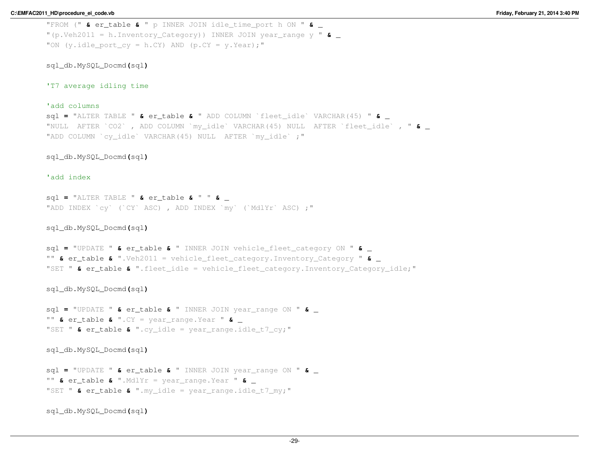"FROM (" **&** er\_table **&** " p INNER JOIN idle\_time\_port h ON " **&** \_ "(p.Veh2011 = h.Inventory\_Category)) INNER JOIN year\_range y " **&** \_ "ON (y.idle port  $cy = h.CY$ ) AND (p.CY = y.Year);"

sql\_db.MySQL\_Docmd**(**sql**)**

'T7 average idling time

# 'add columns

 sql **<sup>=</sup>** "ALTER TABLE " **&** er\_table **&** " ADD COLUMN `fleet\_idle` VARCHAR(45) " **&** \_ "NULL AFTER `CO2` , ADD COLUMN `my\_idle` VARCHAR(45) NULL AFTER `fleet\_idle` , " **&** \_ "ADD COLUMN `cy\_idle` VARCHAR(45) NULL AFTER `my\_idle` ;"

sql\_db.MySQL\_Docmd**(**sql**)**

## 'add index

```
sql = "ALTER TABLE " & er_table & " " & _ "ADD INDEX `cy` (`CY` ASC) , ADD INDEX `my` (`MdlYr` ASC) ;"
```
sql\_db.MySQL\_Docmd**(**sql**)**

```
sql = "UPDATE " & er_table & " INNER JOIN vehicle_fleet_category ON " & _ "" & er_table & ".Veh2011 = vehicle_fleet_category.Inventory_Category " & _ "SET " & er_table & ".fleet_idle = vehicle_fleet_category.Inventory_Category_idle;"
```
sql\_db.MySQL\_Docmd**(**sql**)**

sql **<sup>=</sup>** "UPDATE " **&** er\_table **&** " INNER JOIN year\_range ON " **&** \_ "" **&** er\_table **&** ".CY = year\_range.Year " **&** \_ "SET " **&** er\_table **&** ".cy\_idle = year\_range.idle\_t7\_cy;"

sql\_db.MySQL\_Docmd**(**sql**)**

sql **<sup>=</sup>** "UPDATE " **&** er\_table **&** " INNER JOIN year\_range ON " **&** \_ "" **&** er\_table **&** ".MdlYr = year\_range.Year " **&** \_ "SET " **&** er\_table **&** ".my\_idle = year\_range.idle\_t7\_my;"

sql\_db.MySQL\_Docmd**(**sql**)**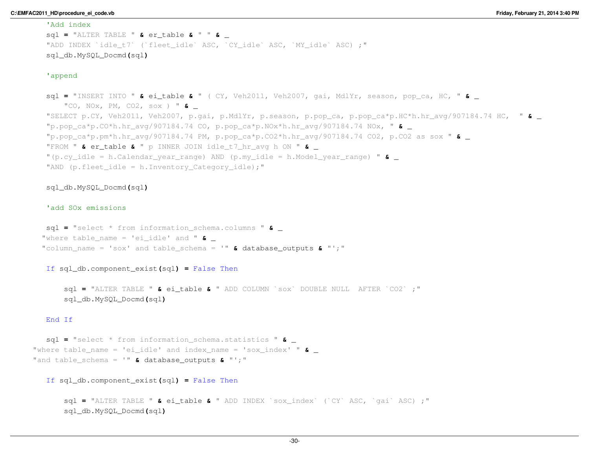#### 'Add index

```

sql = "ALTER TABLE " & er_table & " " & _ "ADD INDEX `idle t7` (`fleet idle` ASC, `CY_idle` ASC, `MY_idle` ASC) ;"
sql_db.MySQL_Docmd(sql)
```
# 'append

```
sql = "INSERT INTO " & ei_table & " ( CY, Veh2011, Veh2007, gai, MdlYr, season, pop_ca, HC, " & _ "CO, NOx, PM, CO2, sox ) " & _ "SELECT p.CY, Veh2011, Veh2007, p.gai, p.MdlYr, p.season, p.pop_ca, p.pop_ca*p.HC*h.hr_avg/907184.74 HC, " & _ "p.pop_ca*p.CO*h.hr_avg/907184.74 CO, p.pop_ca*p.NOx*h.hr_avg/907184.74 NOx, " & _ "p.pop_ca*p.pm*h.hr_avg/907184.74 PM, p.pop_ca*p.CO2*h.hr_avg/907184.74 CO2, p.CO2 as sox " & _ "FROM " & er_table & " p INNER JOIN idle_t7_hr_avg h ON " & _ "(p.cy_idle = h.Calendar_year_range) AND (p.my_idle = h.Model_year_range) " & _ "AND (p.fleet_idle = h.Inventory_Category_idle);"
```
# sql\_db.MySQL\_Docmd**(**sql**)**

# 'add SOx emissions

sql **<sup>=</sup>** "select \* from information\_schema.columns " **&** \_ "where table\_name = 'ei\_idle' and " **&** \_ "column\_name = 'sox' and table\_schema = '" **&** database\_outputs **&** "';"

If sql\_db.component\_exist**(**sql**) <sup>=</sup>** False Then

sql **<sup>=</sup>** "ALTER TABLE " **&** ei\_table **&** " ADD COLUMN `sox` DOUBLE NULL AFTER `CO2` ;" sql\_db.MySQL\_Docmd**(**sql**)**

#### End If

sql **<sup>=</sup>** "select \* from information\_schema.statistics " **&** \_ "where table\_name = 'ei\_idle' and index\_name = 'sox\_index' " **&** \_ "and table\_schema = '" **&** database\_outputs **&** "';"

If sql\_db.component\_exist**(**sql**) <sup>=</sup>** False Then

sql **<sup>=</sup>** "ALTER TABLE " **&** ei\_table **&** " ADD INDEX `sox\_index` (`CY` ASC, `gai` ASC) ;" sql\_db.MySQL\_Docmd**(**sql**)**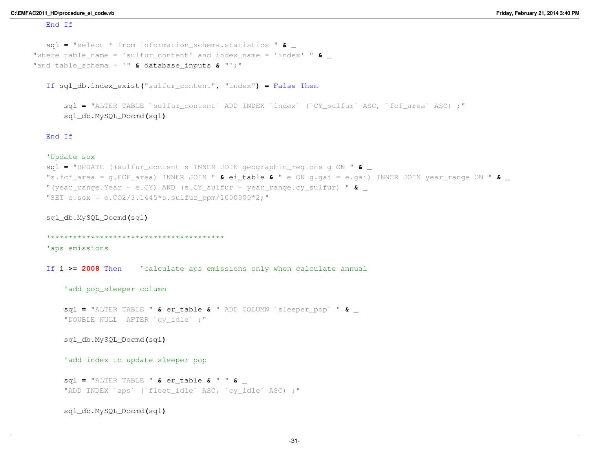#### End If

```
sql = "select * from information_schema.statistics " & _ "where table_name = 'sulfur_content' and index_name = 'index' " & _ "and table_schema = '" & database_inputs & "';"
```
If sql\_db.index\_exist**(**"sulfur\_content"**,** "index"**) <sup>=</sup>** False Then

```
sql = "ALTER TABLE `sulfur_content` ADD INDEX `index` (`CY_sulfur` ASC, `fcf_area` ASC) ;"
sql_db.MySQL_Docmd(sql)
```
#### End If

### 'Update sox

```

sql = "UPDATE ((sulfur_content s INNER JOIN geographic_regions g ON " & _ "s.fcf_area = g.FCF_area) INNER JOIN " & ei_table & " e ON g.gai = e.gai) INNER JOIN year_range ON " & _ "(year_range.Year = e.CY) AND (s.CY_sulfur = year_range.cy_sulfur) " & _ "SET e.sox = e.CO2/3.1445*s.sulfur ppm/10000000*2;"
```
sql\_db.MySQL\_Docmd**(**sql**)**

```
'***************************************
```
'aps emissions

If <sup>i</sup> **>= <sup>2008</sup>** Then 'calculate aps emissions only when calculate annual

```
'add pop_sleeper column
```
sql **<sup>=</sup>** "ALTER TABLE " **&** er\_table **&** " ADD COLUMN `sleeper\_pop` " **&** \_ "DOUBLE NULL AFTER `cy\_idle` ;"

```
sql_db.MySQL_Docmd(sql)
```
'add index to update sleeper pop

```
sql = "ALTER TABLE " & er_table & " " & _ "ADD INDEX `aps` (`fleet idle` ASC, `cy_idle` ASC) ;"
```
sql\_db.MySQL\_Docmd**(**sql**)**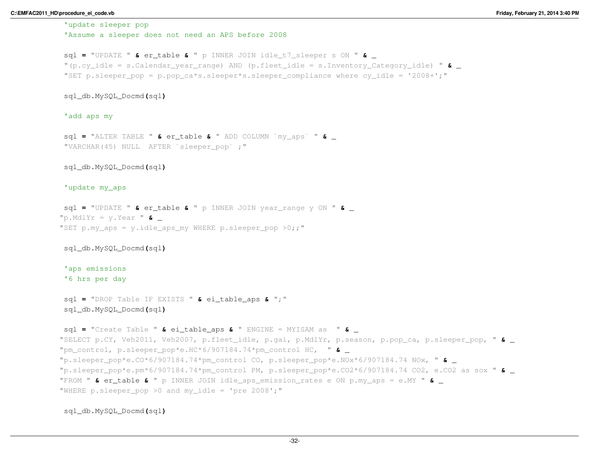'update sleeper pop

'Assume a sleeper does not need an APS before 2008

```
sql = "UPDATE " & er_table & " p INNER JOIN idle_t7_sleeper s ON " & _ "(p.cy_idle = s.Calendar_year_range) AND (p.fleet_idle = s.Inventory_Category_idle) " & _ "SET p.sleeper_pop = p.pop_ca*s.sleeper*s.sleeper_compliance where cy_idle = '2008+';"
```
sql\_db.MySQL\_Docmd**(**sql**)**

'add aps my

sql **<sup>=</sup>** "ALTER TABLE " **&** er\_table **&** " ADD COLUMN `my\_aps` " **&** \_ "VARCHAR(45) NULL AFTER `sleeper\_pop` ;"

sql\_db.MySQL\_Docmd**(**sql**)**

'update my\_aps

```
sql = "UPDATE " & er_table & " p INNER JOIN year_range y ON " & _ "p.MdlYr = y.Year " & _ "SET p.my aps = y.idle aps my WHERE p.sleeper pop >0;;"
```
sql\_db.MySQL\_Docmd**(**sql**)**

'aps emissions'6 hrs per day

sql **<sup>=</sup>** "DROP Table IF EXISTS " **&** ei\_table\_aps **&** ";" sql\_db.MySQL\_Docmd**(**sql**)**

```
sql = "Create Table " & ei_table_aps & " ENGINE = MYISAM as " & _ "SELECT p.CY, Veh2011, Veh2007, p.fleet_idle, p.gai, p.MdlYr, p.season, p.pop_ca, p.sleeper_pop, " & _ "pm_control, p.sleeper_pop*e.HC*6/907184.74*pm_control HC, " & _ "p.sleeper_pop*e.CO*6/907184.74*pm_control CO, p.sleeper_pop*e.NOx*6/907184.74 NOx, " & _ "p.sleeper_pop*e.pm*6/907184.74*pm_control PM, p.sleeper_pop*e.CO2*6/907184.74 CO2, e.CO2 as sox " & _ "FROM " & er_table & " p INNER JOIN idle_aps_emission_rates e ON p.my_aps = e.MY " & _ "WHERE p.sleeper pop >0 and my idle = 'pre 2008';"
```
sql\_db.MySQL\_Docmd**(**sql**)**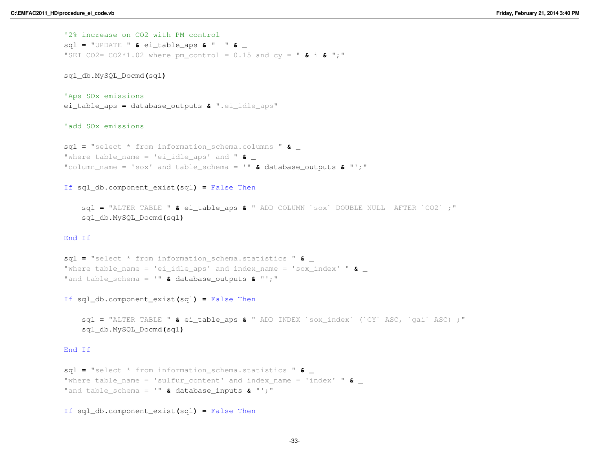'2% increase on CO2 with PM control sql **<sup>=</sup>** "UPDATE " **&** ei\_table\_aps **&** " " **&** \_ "SET CO2= CO2\*1.02 where pm\_control = 0.15 and cy = " **&** <sup>i</sup> **&** ";"

sql\_db.MySQL\_Docmd**(**sql**)**

'Aps SOx emissionsei\_table\_aps **<sup>=</sup>** database\_outputs **&** ".ei\_idle\_aps"

'add SOx emissions

sql **<sup>=</sup>** "select \* from information\_schema.columns " **&** \_ "where table\_name = 'ei\_idle\_aps' and " **&** \_ "column\_name = 'sox' and table\_schema = '" **&** database\_outputs **&** "';"

If sql\_db.component\_exist**(**sql**) <sup>=</sup>** False Then

sql **<sup>=</sup>** "ALTER TABLE " **&** ei\_table\_aps **&** " ADD COLUMN `sox` DOUBLE NULL AFTER `CO2` ;" sql\_db.MySQL\_Docmd**(**sql**)**

# End If

sql **<sup>=</sup>** "select \* from information\_schema.statistics " **&** \_ "where table\_name = 'ei\_idle\_aps' and index\_name = 'sox\_index' " **&** \_ "and table\_schema = '" **&** database\_outputs **&** "';"

If sql\_db.component\_exist**(**sql**) <sup>=</sup>** False Then

sql **<sup>=</sup>** "ALTER TABLE " **&** ei\_table\_aps **&** " ADD INDEX `sox\_index` (`CY` ASC, `gai` ASC) ;" sql\_db.MySQL\_Docmd**(**sql**)**

# End If

```
sql = "select * from information_schema.statistics " & _ "where table_name = 'sulfur_content' and index_name = 'index' " & _ "and table_schema = '" & database_inputs & "';"
```
If sql\_db.component\_exist**(**sql**) <sup>=</sup>** False Then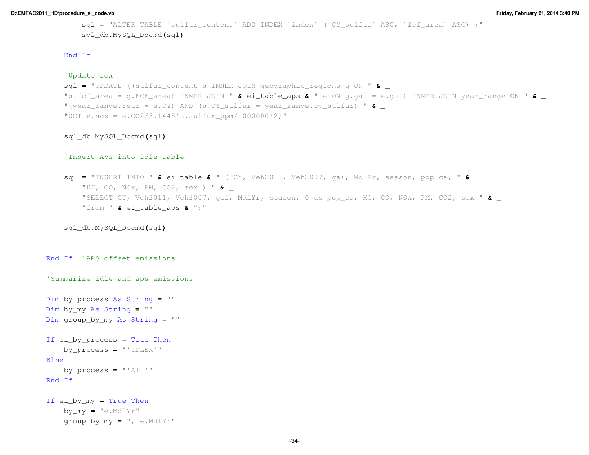```
sql = "ALTER TABLE `sulfur_content` ADD INDEX `index` (`CY_sulfur` ASC, `fcf_area` ASC) ;"
sql_db.MySQL_Docmd(sql)
```
# End If

#### 'Update sox

```

sql = "UPDATE ((sulfur_content s INNER JOIN geographic_regions g ON " & _ "s.fcf_area = g.FCF_area) INNER JOIN " & ei_table_aps & " e ON g.gai = e.gai) INNER JOIN year_range ON " & _ "(year_range.Year = e.CY) AND (s.CY_sulfur = year_range.cy_sulfur) " & _ "SET e.sox = e.CO2/3.1445*s.sulfur ppm/10000000*2;"
```
## sql\_db.MySQL\_Docmd**(**sql**)**

#### 'Insert Aps into idle table

```
sql = "INSERT INTO " & ei_table & " ( CY, Veh2011, Veh2007, gai, MdlYr, season, pop_ca, " & _ "HC, CO, NOx, PM, CO2, sox ) " & _ "SELECT CY, Veh2011, Veh2007, gai, MdlYr, season, 0 as pop_ca, HC, CO, NOx, PM, CO2, sox " & _ "from " & ei_table_aps & ";"
```
sql\_db.MySQL\_Docmd**(**sql**)**

```
End If 'APS offset emissions
```
'Summarize idle and aps emissions

```
Dim by_process As String = ""
Dim by_my As String = ""
Dim group_by_my As String = ""
```

```
If ei_by_process = True Then
    by_process = "'IDLEX'"
Elseby_process = "'All'"
End If
```

```
If ei_by_my = True Then
    by_my = "e.MdlYr"
    group_by_my = ", e.MdlYr"
```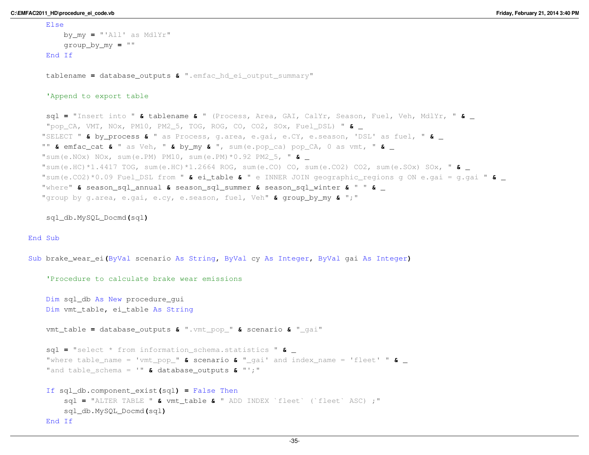Else

```
by_my = "'All' as MdlYr"
    group_by_my = ""
End If
tablename = database_outputs & ".emfac_hd_ei_output_summary"
'Append to export tablesql = "Insert into " & tablename & " (Process, Area, GAI, CalYr, Season, Fuel, Veh, MdlYr, " & _ "pop_CA, VMT, NOx, PM10, PM2_5, TOG, ROG, CO, CO2, SOx, Fuel_DSL) " & _ "SELECT " & by_process & " as Process, g.area, e.gai, e.CY, e.season, 'DSL' as fuel, " & _ "" & emfac_cat & " as Veh, " & by_my & ", sum(e.pop_ca) pop_CA, 0 as vmt, " & _ "sum(e.NOx) NOx, sum(e.PM) PM10, sum(e.PM)*0.92 PM2_5, " & _ "sum(e.HC)*1.4417 TOG, sum(e.HC)*1.2664 ROG, sum(e.CO) CO, sum(e.CO2) CO2, sum(e.SOx) SOx, " & _ "sum(e.CO2)*0.09 Fuel_DSL from " & ei_table & " e INNER JOIN geographic_regions g ON e.gai = g.gai " & _ "where" & season_sql_annual & season_sql_summer & season_sql_winter & " " & _ "group by g.area, e.gai, e.cy, e.season, fuel, Veh" & group_by_my & ";"
```
sql\_db.MySQL\_Docmd**(**sql**)**

## End Sub

```
Sub brake_wear_ei(ByVal scenario As String, ByVal cy As Integer, ByVal gai As Integer)
```

```
'Procedure to calculate brake wear emissionsDim sql_db As New procedure_gui
Dim vmt_table, ei_table As String
vmt_table = database_outputs & ".vmt_pop_" & scenario & "_gai"
sql = "select * from information_schema.statistics " & _ "where table_name = 'vmt_pop_" & scenario & "_gai' and index_name = 'fleet' " & _ "and table_schema = '" & database_outputs & "';"
If sql_db.component_exist(sql) = False Then
    sql = "ALTER TABLE " & vmt_table & " ADD INDEX `fleet` (`fleet` ASC) ;"
   sql_db.MySQL_Docmd(sql)End If
```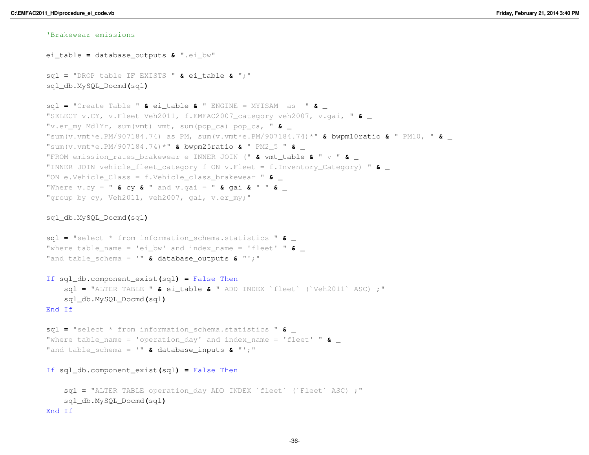# 'Brakewear emissions

ei\_table **<sup>=</sup>** database\_outputs **&** ".ei\_bw" sql **<sup>=</sup>** "DROP table IF EXISTS " **&** ei\_table **&** ";" sql\_db.MySQL\_Docmd**(**sql**)**sql **<sup>=</sup>** "Create Table " **&** ei\_table **&** " ENGINE = MYISAM as " **&** \_ "SELECT v.CY, v.Fleet Veh2011, f.EMFAC2007\_category veh2007, v.gai, " **&** \_ "v.er\_my MdlYr, sum(vmt) vmt, sum(pop\_ca) pop\_ca, " **&** \_ "sum(v.vmt\*e.PM/907184.74) as PM, sum(v.vmt\*e.PM/907184.74)\*" **&** bwpm10ratio **&** " PM10, " **&** \_ "sum(v.vmt\*e.PM/907184.74)\*" **&** bwpm25ratio **&** " PM2\_5 " **&** \_ "FROM emission\_rates\_brakewear e INNER JOIN (" **&** vmt\_table **&** " v " **&** \_ "INNER JOIN vehicle\_fleet\_category f ON v.Fleet = f.Inventory\_Category) " **&** \_ "ON e.Vehicle\_Class = f.Vehicle\_class\_brakewear " **&** \_ "Where v.cy = " **&** cy **&** " and v.gai = " **&** ga<sup>i</sup> **&** " " **&** \_ "group by cy, Veh2011, veh2007, gai, v.er my;"

# sql\_db.MySQL\_Docmd**(**sql**)**

```
sql = "select * from information_schema.statistics " & _ "where table_name = 'ei_bw' and index_name = 'fleet' " & _ "and table_schema = '" & database_outputs & "';"
```
If sql\_db.component\_exist**(**sql**) <sup>=</sup>** False Then sql **<sup>=</sup>** "ALTER TABLE " **&** ei\_table **&** " ADD INDEX `fleet` (`Veh2011` ASC) ;" sql\_db.MySQL\_Docmd**(**sql**)**End If

sql **<sup>=</sup>** "select \* from information\_schema.statistics " **&** \_ "where table\_name = 'operation\_day' and index\_name = 'fleet' " **&** \_ "and table\_schema = '" **&** database\_inputs **&** "';"

If sql\_db.component\_exist**(**sql**) <sup>=</sup>** False Then

```
sql = "ALTER TABLE operation_day ADD INDEX `fleet` (`Fleet` ASC) ;"
   sql_db.MySQL_Docmd(sql)End If
```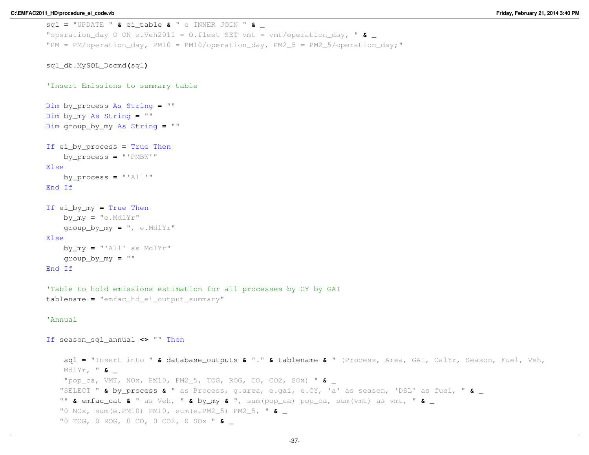```
sql = "UPDATE " & ei_table & " e INNER JOIN " & _ "operation_day O ON e.Veh2011 = O.fleet SET vmt = vmt/operation_day, " & _ "PM = PM/operation day, PM10 = PM10/operation day, PM2_5 = PM2_5/operation_day;"
```

```
sql_db.MySQL_Docmd(sql)
```

```
'Insert Emissions to summary table
```

```
Dim by_process As String = ""
Dim by_my As String = ""
Dim group_by_my As String = ""
```

```
If ei_by_process = True Then
    by_process = "'PMBW'"
```
# Else

```
by_process = "'All'"
End If
```

```
If ei_by_my = True Then
    by_my = "e.MdlYr"
    group_by_my = ", e.MdlYr"
Elseby_my = "'All' as MdlYr"
    group_by_my = ""
```
# End If

```
'Table to hold emissions estimation for all processes by CY by GAI
```

```
tablename = "emfac_hd_ei_output_summary"
```
## 'Annual

```
If season_sql_annual <> "" Then
```
sql **<sup>=</sup>** "Insert into " **&** database\_outputs **&** "." **&** tablename **&** " (Process, Area, GAI, CalYr, Season, Fuel, Veh, MdlYr, " **&** \_ "pop\_ca, VMT, NOx, PM10, PM2\_5, TOG, ROG, CO, CO2, SOx) " **&** \_ "SELECT " **&** by\_process **&** " as Process, g.area, e.gai, e.CY, 'a' as season, 'DSL' as fuel, " **&** \_ "" **&** emfac\_cat **&** " as Veh, " **&** by\_my **&** ", sum(pop\_ca) pop\_ca, sum(vmt) as vmt, " **&** \_ "0 NOx, sum(e.PM10) PM10, sum(e.PM2\_5) PM2\_5, " **&** \_ "0 TOG, 0 ROG, 0 CO, 0 CO2, 0 SOx " **&** \_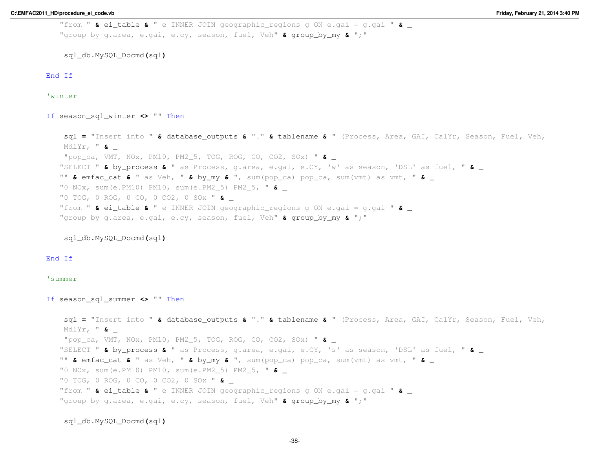```
"from " & ei_table & " e INNER JOIN geographic_regions g ON e.gai = g.gai " & _ "group by g.area, e.gai, e.cy, season, fuel, Veh" & group_by_my & ";"
```
End If

'winter

If season\_sql\_winter **<>** "" Then

sql **<sup>=</sup>** "Insert into " **&** database\_outputs **&** "." **&** tablename **&** " (Process, Area, GAI, CalYr, Season, Fuel, Veh, MdlYr, " **&** \_ "pop\_ca, VMT, NOx, PM10, PM2\_5, TOG, ROG, CO, CO2, SOx) " **&** \_ "SELECT " **&** by\_process **&** " as Process, g.area, e.gai, e.CY, 'w' as season, 'DSL' as fuel, " **&** \_ "" **&** emfac\_cat **&** " as Veh, " **&** by\_my **&** ", sum(pop\_ca) pop\_ca, sum(vmt) as vmt, " **&** \_ "0 NOx, sum(e.PM10) PM10, sum(e.PM2\_5) PM2\_5, " **&** \_ "0 TOG, 0 ROG, 0 CO, 0 CO2, 0 SOx " **&** \_ "from " **&** ei\_table **&** " e INNER JOIN geographic\_regions g ON e.gai = g.gai " **&** \_ "group by g.area, e.gai, e.cy, season, fuel, Veh" **&** group\_by\_my **&** ";"

sql\_db.MySQL\_Docmd**(**sql**)**

End If

#### 'summer

If season\_sql\_summer **<>** "" Then

sql **<sup>=</sup>** "Insert into " **&** database\_outputs **&** "." **&** tablename **&** " (Process, Area, GAI, CalYr, Season, Fuel, Veh, MdlYr, " **&** \_ "pop\_ca, VMT, NOx, PM10, PM2\_5, TOG, ROG, CO, CO2, SOx) " **&** \_ "SELECT " **&** by\_process **&** " as Process, g.area, e.gai, e.CY, 's' as season, 'DSL' as fuel, " **&** \_ "" **&** emfac\_cat **&** " as Veh, " **&** by\_my **&** ", sum(pop\_ca) pop\_ca, sum(vmt) as vmt, " **&** \_ "0 NOx, sum(e.PM10) PM10, sum(e.PM2\_5) PM2\_5, " **&** \_ "0 TOG, 0 ROG, 0 CO, 0 CO2, 0 SOx " **&** \_ "from " **&** ei\_table **&** " e INNER JOIN geographic\_regions g ON e.gai = g.gai " **&** \_ "group by g.area, e.gai, e.cy, season, fuel, Veh" **&** group\_by\_my **&** ";"

sql\_db.MySQL\_Docmd**(**sql**)**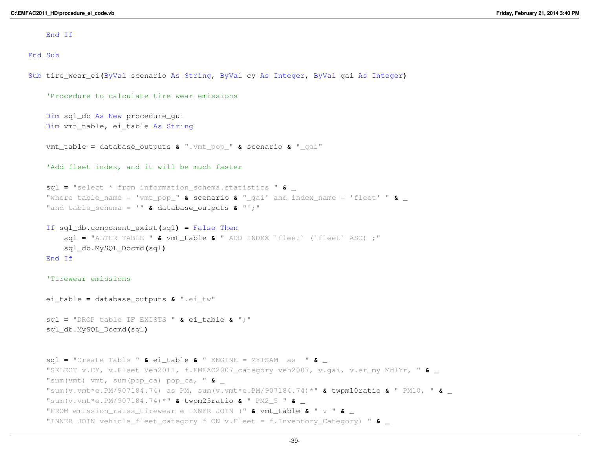End If

End Sub

Sub tire\_wear\_ei**(**ByVal scenario As String**,** ByVal cy As Integer**,** ByVal ga<sup>i</sup> As Integer**)**

```
'Procedure to calculate tire wear emissionsDim sql_db As New procedure_gui
Dim vmt_table, ei_table As String
vmt_table = database_outputs & ".vmt_pop_" & scenario & "_gai"
'Add fleet index, and it will be much fastersql = "select * from information_schema.statistics " & _ "where table_name = 'vmt_pop_" & scenario & "_gai' and index_name = 'fleet' " & _ "and table_schema = '" & database_outputs & "';"
If sql_db.component_exist(sql) = False Then
    sql = "ALTER TABLE " & vmt_table & " ADD INDEX `fleet` (`fleet` ASC) ;"
   sql_db.MySQL_Docmd(sql)End If
'Tirewear emissionsei_table = database_outputs & ".ei_tw"
sql = "DROP table IF EXISTS " & ei_table & ";"
sql_db.MySQL_Docmd(sql)sql = "Create Table " & ei_table & " ENGINE = MYISAM as " & _ "SELECT v.CY, v.Fleet Veh2011, f.EMFAC2007_category veh2007, v.gai, v.er_my MdlYr, " & _ "sum(vmt) vmt, sum(pop_ca) pop_ca, " & _ "sum(v.vmt*e.PM/907184.74) as PM, sum(v.vmt*e.PM/907184.74)*" & twpm10ratio & " PM10, " & _ "sum(v.vmt*e.PM/907184.74)*" & twpm25ratio & " PM2_5 " & _ "FROM emission_rates_tirewear e INNER JOIN (" & vmt_table & " v " & _ "INNER JOIN vehicle_fleet_category f ON v.Fleet = f.Inventory_Category) " & _
```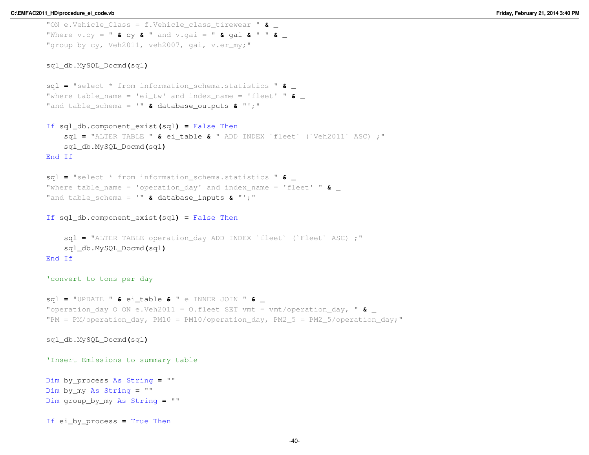```
"ON e.Vehicle_Class = f.Vehicle_class_tirewear " & _ "Where v.cy = " & cy & " and v.gai = " & gai & " " & _ "group by cy, Veh2011, veh2007, gai, v.er my;"
sql_db.MySQL_Docmd(sql)sql = "select * from information_schema.statistics " & _ "where table_name = 'ei_tw' and index_name = 'fleet' " & _ "and table_schema = '" & database_outputs & "';"
If sql_db.component_exist(sql) = False Then
    sql = "ALTER TABLE " & ei_table & " ADD INDEX `fleet` (`Veh2011` ASC) ;"
    sql_db.MySQL_Docmd(sql)End If
sql = "select * from information_schema.statistics " & _ "where table_name = 'operation_day' and index_name = 'fleet' " & _ "and table_schema = '" & database_inputs & "';"
If sql_db.component_exist(sql) = False Then
    sql = "ALTER TABLE operation_day ADD INDEX `fleet` (`Fleet` ASC) ;"
   sql_db.MySQL_Docmd(sql)End If
'convert to tons per daysql = "UPDATE " & ei_table & " e INNER JOIN " & _ "operation_day O ON e.Veh2011 = O.fleet SET vmt = vmt/operation_day, " & _ "PM = PM/operation day, PM10 = PM10/operation day, PM2 5 = PM2 5/operation day;"
sql_db.MySQL_Docmd(sql)'Insert Emissions to summary tableDim by_process As String = ""
Dim by_my As String = ""
Dim group_by_my As String = ""
```
If ei\_by\_process **<sup>=</sup>** True Then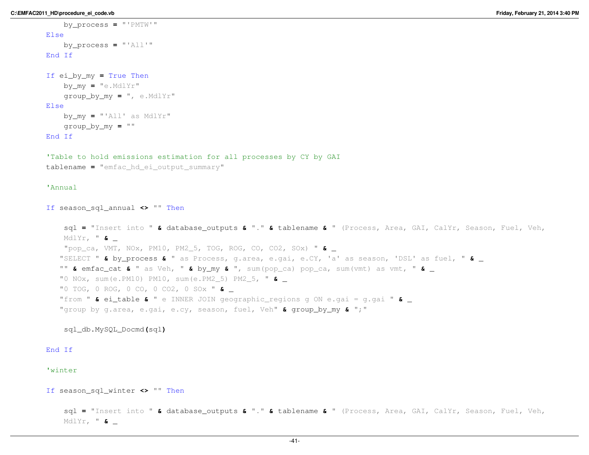```
by_process = "'PMTW'"
Elseby_process = "'All'"
End If
If ei_by_my = True Then
    by_my = "e.MdlYr"
    group_by_my = ", e.MdlYr"
Elseby_my = "'All' as MdlYr"
    group_by_my = ""
End If
'Table to hold emissions estimation for all processes by CY by GAItablename = "emfac_hd_ei_output_summary"
'AnnualIf season_sql_annual <> "" Then
    sql = "Insert into " & database_outputs & "." & tablename & " (Process, Area, GAI, CalYr, Season, Fuel, Veh, 
    MdlYr, " & _ "pop_ca, VMT, NOx, PM10, PM2_5, TOG, ROG, CO, CO2, SOx) " & _ "SELECT " & by_process & " as Process, g.area, e.gai, e.CY, 'a' as season, 'DSL' as fuel, " & _ "" & emfac_cat & " as Veh, " & by_my & ", sum(pop_ca) pop_ca, sum(vmt) as vmt, " & _ "0 NOx, sum(e.PM10) PM10, sum(e.PM2_5) PM2_5, " & _ "0 TOG, 0 ROG, 0 CO, 0 CO2, 0 SOx " & _ "from " & ei_table & " e INNER JOIN geographic_regions g ON e.gai = g.gai " & _ "group by g.area, e.gai, e.cy, season, fuel, Veh" & group_by_my & ";"
   sql_db.MySQL_Docmd(sql)End If
'winterIf season_sql_winter <> "" Then
    sql = "Insert into " & database_outputs & "." & tablename & " (Process, Area, GAI, CalYr, Season, Fuel, Veh, 
    MdlYr, " & _
```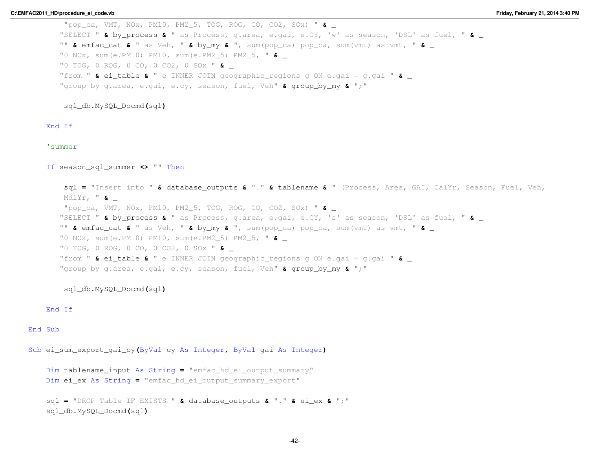"pop\_ca, VMT, NOx, PM10, PM2\_5, TOG, ROG, CO, CO2, SOx) " **&** \_ "SELECT " **&** by\_process **&** " as Process, g.area, e.gai, e.CY, 'w' as season, 'DSL' as fuel, " **&** \_ "" **&** emfac\_cat **&** " as Veh, " **&** by\_my **&** ", sum(pop\_ca) pop\_ca, sum(vmt) as vmt, " **&** \_ "0 NOx, sum(e.PM10) PM10, sum(e.PM2\_5) PM2\_5, " **&** \_ "0 TOG, 0 ROG, 0 CO, 0 CO2, 0 SOx " **&** \_ "from " **&** ei\_table **&** " e INNER JOIN geographic\_regions g ON e.gai = g.gai " **&** \_ "group by g.area, e.gai, e.cy, season, fuel, Veh" **&** group\_by\_my **&** ";"

sql\_db.MySQL\_Docmd**(**sql**)**

# End If

#### 'summer

If season\_sql\_summer **<>** "" Then

sql **<sup>=</sup>** "Insert into " **&** database\_outputs **&** "." **&** tablename **&** " (Process, Area, GAI, CalYr, Season, Fuel, Veh, MdlYr, " **&** \_ "pop\_ca, VMT, NOx, PM10, PM2\_5, TOG, ROG, CO, CO2, SOx) " **&** \_ "SELECT " **&** by\_process **&** " as Process, g.area, e.gai, e.CY, 's' as season, 'DSL' as fuel, " **&** \_ "" **&** emfac\_cat **&** " as Veh, " **&** by\_my **&** ", sum(pop\_ca) pop\_ca, sum(vmt) as vmt, " **&** \_ "0 NOx, sum(e.PM10) PM10, sum(e.PM2\_5) PM2\_5, " **&** \_ "0 TOG, 0 ROG, 0 CO, 0 CO2, 0 SOx " **&** \_ "from " **&** ei\_table **&** " e INNER JOIN geographic\_regions g ON e.gai = g.gai " **&** \_ "group by g.area, e.gai, e.cy, season, fuel, Veh" **&** group\_by\_my **&** ";"

sql\_db.MySQL\_Docmd**(**sql**)**

#### End If

## End Sub

Sub ei\_sum\_export\_gai\_cy**(**ByVal cy As Integer**,** ByVal ga<sup>i</sup> As Integer**)**

```
Dim tablename_input As String = "emfac_hd_ei_output_summary"
Dim ei_ex As String = "emfac_hd_ei_output_summary_export"
```

```
sql = "DROP Table IF EXISTS " & database_outputs & "." & ei_ex & ";"
sql_db.MySQL_Docmd(sql)
```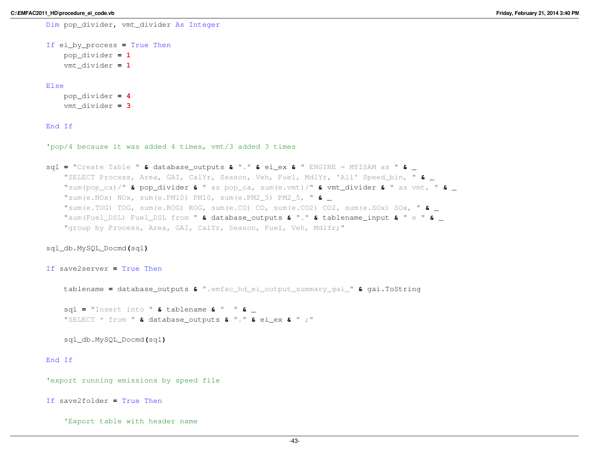```
Dim pop_divider, vmt_divider As Integer
If ei_by_process = True Then
    pop_divider = 1
    vmt_divider = 1
Elsepop_divider = 4
    vmt_divider = 3
```
# End If

'pop/4 because it was added 4 times, vmt/3 added 3 times

```
sql = "Create Table " & database_outputs & "." & ei_ex & " ENGINE = MYISAM as " & _ "SELECT Process, Area, GAI, CalYr, Season, Veh, Fuel, MdlYr, 'All' Speed_bin, " & _ "sum(pop_ca)/" & pop_divider & " as pop_ca, sum(e.vmt)/" & vmt_divider & " as vmt, " & _ "sum(e.NOx) NOx, sum(e.PM10) PM10, sum(e.PM2_5) PM2_5, " & _ "sum(e.TOG) TOG, sum(e.ROG) ROG, sum(e.CO) CO, sum(e.CO2) CO2, sum(e.SOx) SOx, " & _ "sum(Fuel_DSL) Fuel_DSL from " & database_outputs & "." & tablename_input & " e " & _ "group by Process, Area, GAI, CalYr, Season, Fuel, Veh, MdlYr;"
```
sql\_db.MySQL\_Docmd**(**sql**)**

If save2server **<sup>=</sup>** True Then

tablename **<sup>=</sup>** database\_outputs **&** ".emfac\_hd\_ei\_output\_summary\_gai\_" **&** gai.ToString

sql **<sup>=</sup>** "Insert into " **&** tablename **&** " " **&** \_ "SELECT \* from " **&** database\_outputs **&** "." **&** ei\_ex **&** " ;"

sql\_db.MySQL\_Docmd**(**sql**)**

# End If

'export running emissions by speed file

If save2folder **<sup>=</sup>** True Then

'Export table with header name